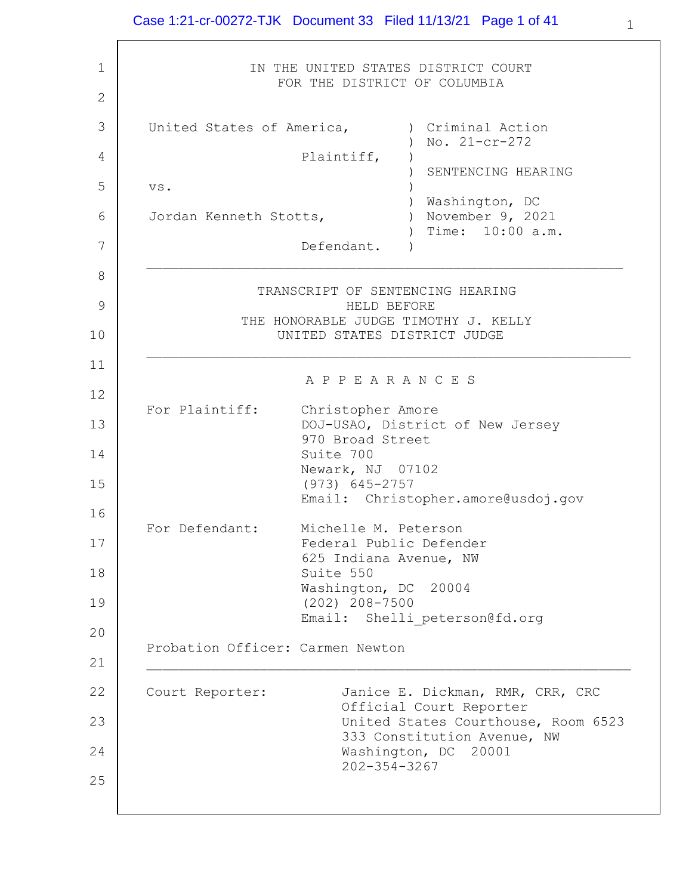#### Case 1:21-cr-00272-TJK Document 33 Filed 11/13/21 Page 1 of 41

1 2 3 4 5 6 7 8 9 10 11 12 13 14 15 16 17 18 19 20 21 22 23 24 25 IN THE UNITED STATES DISTRICT COURT FOR THE DISTRICT OF COLUMBIA United States of America, Plaintiff, vs. Jordan Kenneth Stotts, Defendant. ) Criminal Action ) No. 21-cr-272  $)$ ) SENTENCING HEARING ) ) Washington, DC ) November 9, 2021 ) Time: 10:00 a.m.  $\left( \right)$  $\mathcal{L}_\text{max}$  and the contract of the contract of the contract of the contract of the contract of the contract of TRANSCRIPT OF SENTENCING HEARING HELD BEFORE THE HONORABLE JUDGE TIMOTHY J. KELLY UNITED STATES DISTRICT JUDGE  $\mathcal{L}_\text{max}$  and the contract of the contract of the contract of the contract of the contract of the contract of A P P E A R A N C E S For Plaintiff: Christopher Amore DOJ-USAO, District of New Jersey 970 Broad Street Suite 700 Newark, NJ 07102 (973) 645-2757 Email: Christopher.amore@usdoj.gov For Defendant: Michelle M. Peterson Federal Public Defender 625 Indiana Avenue, NW Suite 550 Washington, DC 20004 (202) 208-7500 Email: Shelli peterson@fd.org Probation Officer: Carmen Newton  $\mathcal{L}_\text{max}$  and the contract of the contract of the contract of the contract of the contract of the contract of Court Reporter: Janice E. Dickman, RMR, CRR, CRC Official Court Reporter United States Courthouse, Room 6523 333 Constitution Avenue, NW Washington, DC 20001 202-354-3267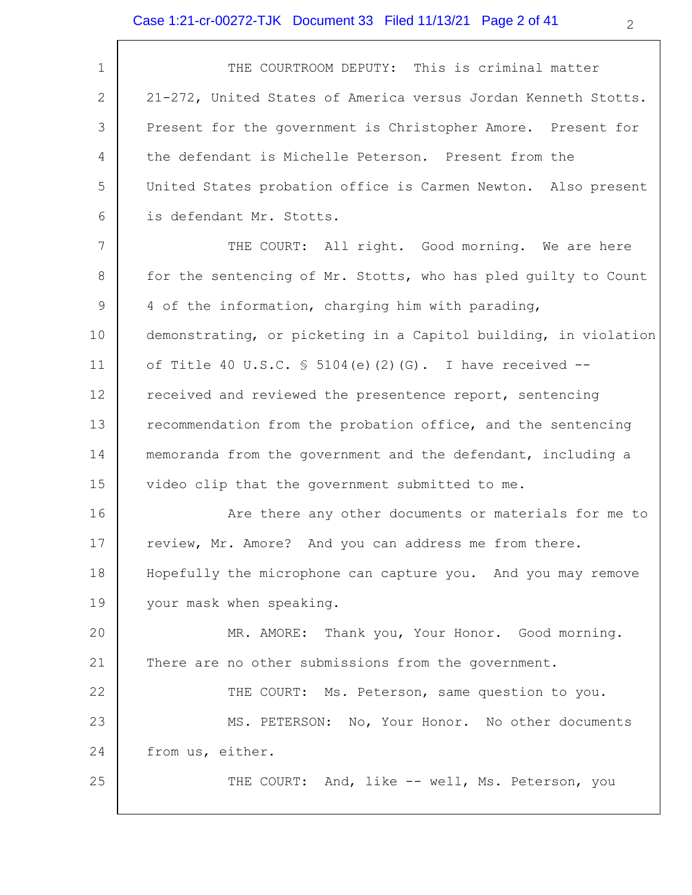| 1               | THE COURTROOM DEPUTY: This is criminal matter                   |
|-----------------|-----------------------------------------------------------------|
| 2               | 21-272, United States of America versus Jordan Kenneth Stotts.  |
| 3               | Present for the government is Christopher Amore. Present for    |
| 4               | the defendant is Michelle Peterson. Present from the            |
| 5               | United States probation office is Carmen Newton. Also present   |
| 6               | is defendant Mr. Stotts.                                        |
| $7\phantom{.0}$ | THE COURT: All right. Good morning. We are here                 |
| 8               | for the sentencing of Mr. Stotts, who has pled guilty to Count  |
| 9               | 4 of the information, charging him with parading,               |
| 10              | demonstrating, or picketing in a Capitol building, in violation |
| 11              | of Title 40 U.S.C. § 5104(e)(2)(G). I have received --          |
| 12              | received and reviewed the presentence report, sentencing        |
| 13              | recommendation from the probation office, and the sentencing    |
| 14              | memoranda from the government and the defendant, including a    |
| 15              | video clip that the government submitted to me.                 |
| 16              | Are there any other documents or materials for me to            |
| 17              | review, Mr. Amore? And you can address me from there.           |
| 18              | Hopefully the microphone can capture you. And you may remove    |
| 19              | your mask when speaking.                                        |
| 20              | MR. AMORE: Thank you, Your Honor. Good morning.                 |
| 21              | There are no other submissions from the government.             |
| 22              | THE COURT: Ms. Peterson, same question to you.                  |
| 23              | MS. PETERSON: No, Your Honor. No other documents                |
| 24              | from us, either.                                                |
| 25              | THE COURT: And, like -- well, Ms. Peterson, you                 |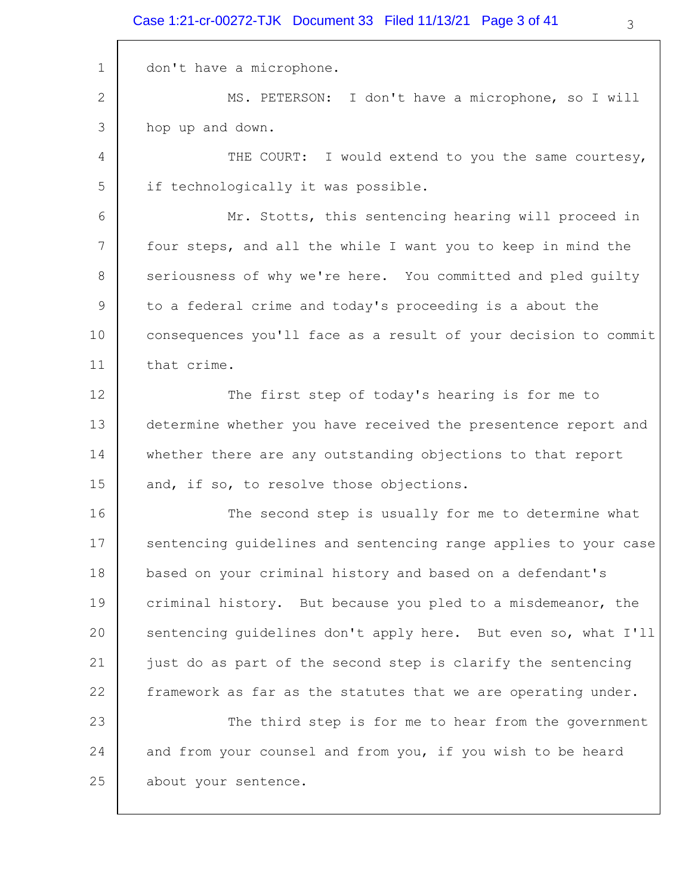#### Case 1:21-cr-00272-TJK Document 33 Filed 11/13/21 Page 3 of 41

1 2 3 4 5 6 7 8 9 10 11 12 13 14 15 16 17 18 19 20 21 22 23 24 25 don't have a microphone. MS. PETERSON: I don't have a microphone, so I will hop up and down. THE COURT: I would extend to you the same courtesy, if technologically it was possible. Mr. Stotts, this sentencing hearing will proceed in four steps, and all the while I want you to keep in mind the seriousness of why we're here. You committed and pled guilty to a federal crime and today's proceeding is a about the consequences you'll face as a result of your decision to commit that crime. The first step of today's hearing is for me to determine whether you have received the presentence report and whether there are any outstanding objections to that report and, if so, to resolve those objections. The second step is usually for me to determine what sentencing guidelines and sentencing range applies to your case based on your criminal history and based on a defendant's criminal history. But because you pled to a misdemeanor, the sentencing guidelines don't apply here. But even so, what I'll just do as part of the second step is clarify the sentencing framework as far as the statutes that we are operating under. The third step is for me to hear from the government and from your counsel and from you, if you wish to be heard about your sentence.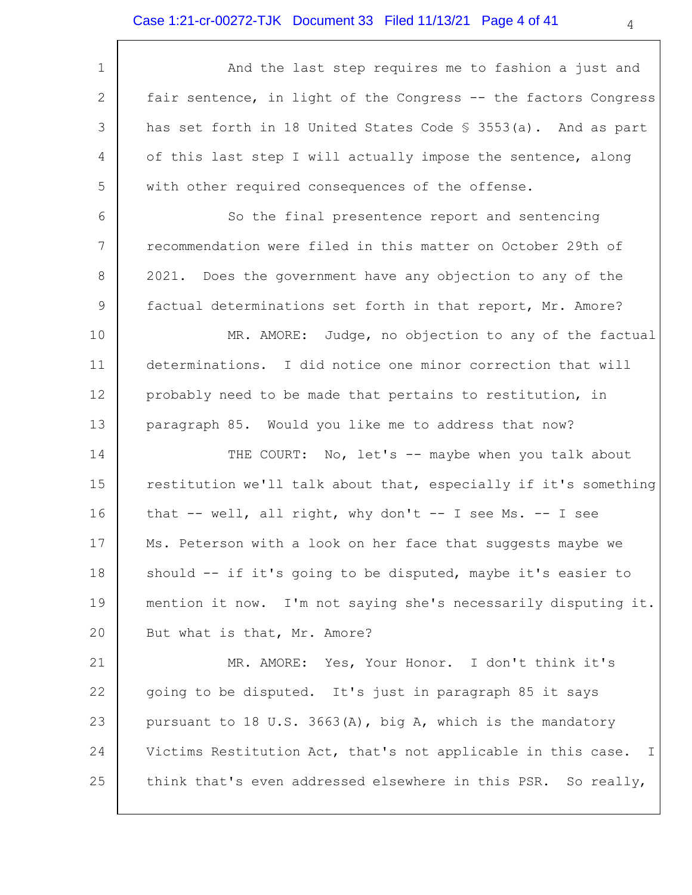| 1  | And the last step requires me to fashion a just and                     |
|----|-------------------------------------------------------------------------|
| 2  | fair sentence, in light of the Congress -- the factors Congress         |
| 3  | has set forth in 18 United States Code § 3553(a). And as part           |
| 4  | of this last step I will actually impose the sentence, along            |
| 5  | with other required consequences of the offense.                        |
| 6  | So the final presentence report and sentencing                          |
| 7  | recommendation were filed in this matter on October 29th of             |
| 8  | 2021. Does the government have any objection to any of the              |
| 9  | factual determinations set forth in that report, Mr. Amore?             |
| 10 | MR. AMORE: Judge, no objection to any of the factual                    |
| 11 | determinations. I did notice one minor correction that will             |
| 12 | probably need to be made that pertains to restitution, in               |
| 13 | paragraph 85. Would you like me to address that now?                    |
| 14 | THE COURT: No, let's -- maybe when you talk about                       |
| 15 | restitution we'll talk about that, especially if it's something         |
| 16 | that -- well, all right, why don't -- I see Ms. -- I see                |
| 17 | Ms. Peterson with a look on her face that suggests maybe we             |
| 18 | should -- if it's going to be disputed, maybe it's easier to            |
| 19 | mention it now. I'm not saying she's necessarily disputing it.          |
| 20 | But what is that, Mr. Amore?                                            |
| 21 | MR. AMORE: Yes, Your Honor. I don't think it's                          |
| 22 | going to be disputed. It's just in paragraph 85 it says                 |
| 23 | pursuant to 18 U.S. 3663(A), big A, which is the mandatory              |
| 24 | Victims Restitution Act, that's not applicable in this case.<br>$\perp$ |
| 25 | think that's even addressed elsewhere in this PSR. So really,           |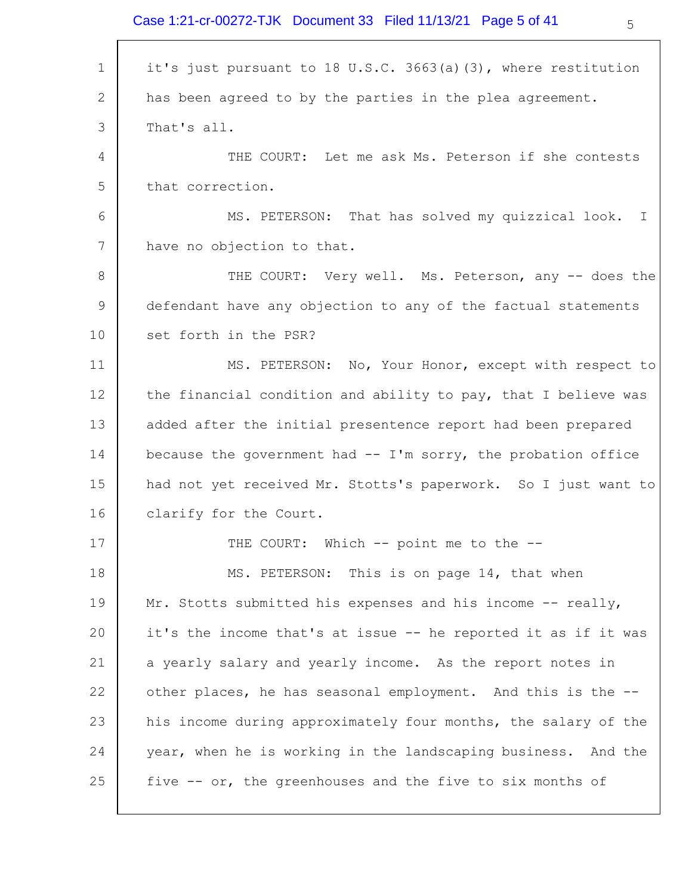Case 1:21-cr-00272-TJK Document 33 Filed 11/13/21 Page 5 of 41

| 1               | it's just pursuant to 18 U.S.C. 3663(a)(3), where restitution  |
|-----------------|----------------------------------------------------------------|
| 2               | has been agreed to by the parties in the plea agreement.       |
| 3               | That's all.                                                    |
| 4               | THE COURT: Let me ask Ms. Peterson if she contests             |
| 5               | that correction.                                               |
| 6               | MS. PETERSON: That has solved my quizzical look.<br>I.         |
| $7\phantom{.0}$ | have no objection to that.                                     |
| 8               | THE COURT: Very well. Ms. Peterson, any -- does the            |
| 9               | defendant have any objection to any of the factual statements  |
| 10              | set forth in the PSR?                                          |
| 11              | MS. PETERSON: No, Your Honor, except with respect to           |
| 12              | the financial condition and ability to pay, that I believe was |
| 13              | added after the initial presentence report had been prepared   |
| 14              | because the government had $-$ I'm sorry, the probation office |
| 15              | had not yet received Mr. Stotts's paperwork. So I just want to |
| 16              | clarify for the Court.                                         |
| 17              | THE COURT: Which -- point me to the --                         |
| 18              | MS. PETERSON: This is on page 14, that when                    |
| 19              | Mr. Stotts submitted his expenses and his income -- really,    |
| 20              | it's the income that's at issue -- he reported it as if it was |
| 21              | a yearly salary and yearly income. As the report notes in      |
| 22              | other places, he has seasonal employment. And this is the --   |
| 23              | his income during approximately four months, the salary of the |
| 24              | year, when he is working in the landscaping business. And the  |
| 25              | five -- or, the greenhouses and the five to six months of      |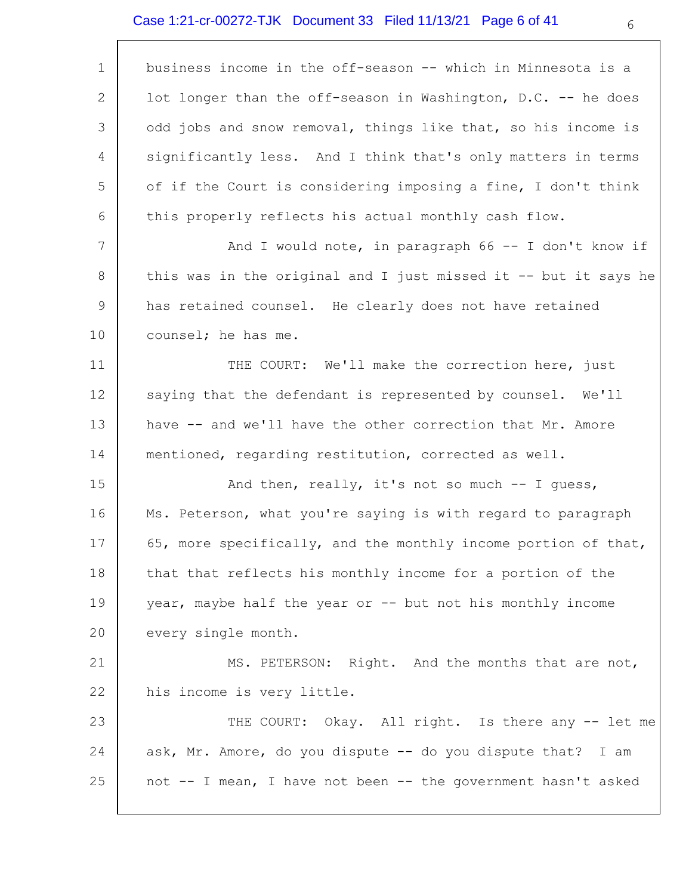## Case 1:21-cr-00272-TJK Document 33 Filed 11/13/21 Page 6 of 41

 $\Gamma$ 

| $\mathbf 1$  | business income in the off-season -- which in Minnesota is a    |
|--------------|-----------------------------------------------------------------|
| $\mathbf{2}$ | lot longer than the off-season in Washington, D.C. -- he does   |
| 3            | odd jobs and snow removal, things like that, so his income is   |
| 4            | significantly less. And I think that's only matters in terms    |
| 5            | of if the Court is considering imposing a fine, I don't think   |
| 6            | this properly reflects his actual monthly cash flow.            |
| 7            | And I would note, in paragraph $66 - -$ I don't know if         |
| 8            | this was in the original and I just missed it -- but it says he |
| 9            | has retained counsel. He clearly does not have retained         |
| 10           | counsel; he has me.                                             |
| 11           | THE COURT: We'll make the correction here, just                 |
| 12           | saying that the defendant is represented by counsel. We'll      |
| 13           | have -- and we'll have the other correction that Mr. Amore      |
| 14           | mentioned, regarding restitution, corrected as well.            |
| 15           | And then, really, it's not so much $-$ I quess,                 |
| 16           | Ms. Peterson, what you're saying is with regard to paragraph    |
| 17           | 65, more specifically, and the monthly income portion of that,  |
| 18           | that that reflects his monthly income for a portion of the      |
| 19           | year, maybe half the year or -- but not his monthly income      |
| 20           | every single month.                                             |
| 21           | MS. PETERSON: Right. And the months that are not,               |
| 22           | his income is very little.                                      |
| 23           | THE COURT: Okay. All right. Is there any -- let me              |
| 24           | ask, Mr. Amore, do you dispute -- do you dispute that? I am     |
| 25           | not -- I mean, I have not been -- the government hasn't asked   |
|              |                                                                 |

6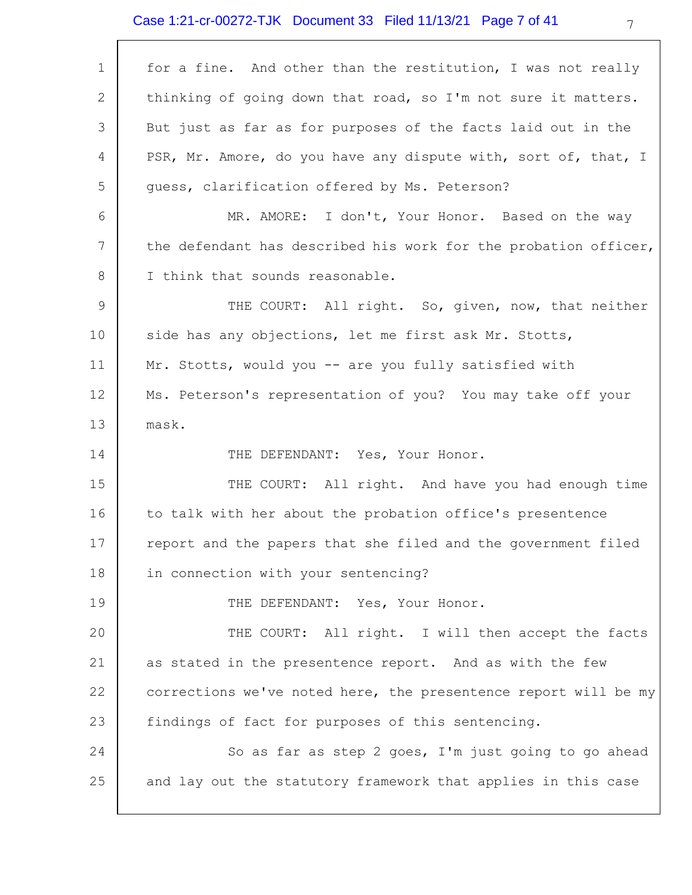# Case 1:21-cr-00272-TJK Document 33 Filed 11/13/21 Page 7 of 41

| 1           | for a fine. And other than the restitution, I was not really    |
|-------------|-----------------------------------------------------------------|
| 2           | thinking of going down that road, so I'm not sure it matters.   |
| 3           | But just as far as for purposes of the facts laid out in the    |
| 4           | PSR, Mr. Amore, do you have any dispute with, sort of, that, I  |
| 5           | quess, clarification offered by Ms. Peterson?                   |
| 6           | MR. AMORE: I don't, Your Honor. Based on the way                |
| 7           | the defendant has described his work for the probation officer, |
| 8           | I think that sounds reasonable.                                 |
| $\mathsf 9$ | THE COURT: All right. So, given, now, that neither              |
| 10          | side has any objections, let me first ask Mr. Stotts,           |
| 11          | Mr. Stotts, would you -- are you fully satisfied with           |
| 12          | Ms. Peterson's representation of you? You may take off your     |
| 13          | mask.                                                           |
| 14          | THE DEFENDANT: Yes, Your Honor.                                 |
| 15          | THE COURT: All right. And have you had enough time              |
| 16          | to talk with her about the probation office's presentence       |
| 17          | report and the papers that she filed and the government filed   |
| 18          | in connection with your sentencing?                             |
| 19          | THE DEFENDANT: Yes, Your Honor.                                 |
| 20          | THE COURT: All right. I will then accept the facts              |
| 21          | as stated in the presentence report. And as with the few        |
| 22          | corrections we've noted here, the presentence report will be my |
| 23          | findings of fact for purposes of this sentencing.               |
| 24          | So as far as step 2 goes, I'm just going to go ahead            |
| 25          | and lay out the statutory framework that applies in this case   |
|             |                                                                 |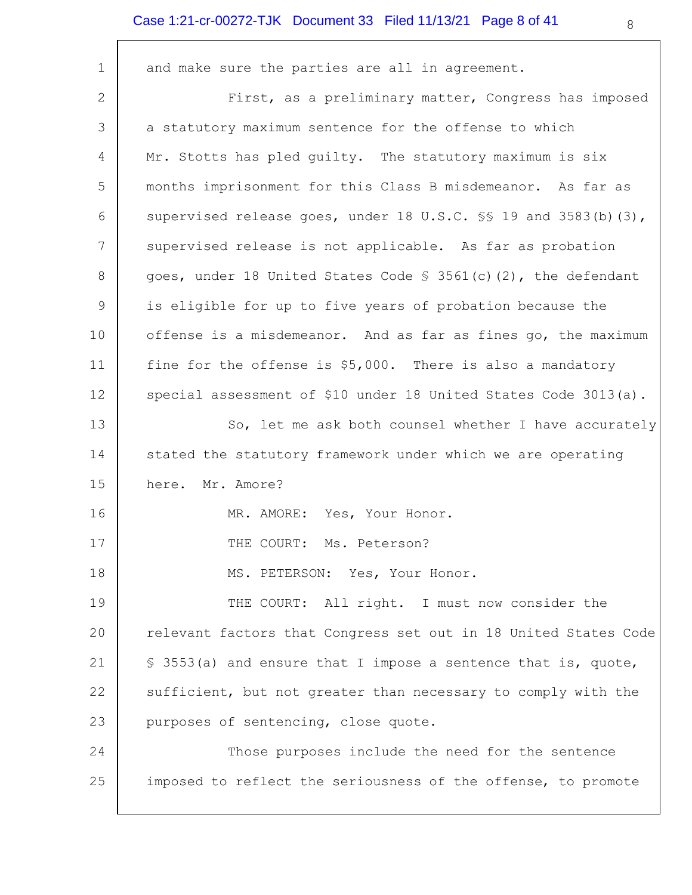## Case 1:21-cr-00272-TJK Document 33 Filed 11/13/21 Page 8 of 41

 $\overline{\phantom{a}}$ 

| $\mathbf 1$     | and make sure the parties are all in agreement.                  |
|-----------------|------------------------------------------------------------------|
| 2               | First, as a preliminary matter, Congress has imposed             |
| 3               | a statutory maximum sentence for the offense to which            |
| 4               | Mr. Stotts has pled guilty. The statutory maximum is six         |
| 5               | months imprisonment for this Class B misdemeanor. As far as      |
| 6               | supervised release goes, under 18 U.S.C. \$ 19 and 3583(b) (3),  |
| $7\phantom{.0}$ | supervised release is not applicable. As far as probation        |
| 8               | goes, under 18 United States Code $\S$ 3561(c)(2), the defendant |
| 9               | is eligible for up to five years of probation because the        |
| 10              | offense is a misdemeanor. And as far as fines go, the maximum    |
| 11              | fine for the offense is \$5,000. There is also a mandatory       |
| 12              | special assessment of \$10 under 18 United States Code 3013(a).  |
| 13              | So, let me ask both counsel whether I have accurately            |
| 14              | stated the statutory framework under which we are operating      |
| 15              | here. Mr. Amore?                                                 |
| 16              | MR. AMORE: Yes, Your Honor.                                      |
| 17              | THE COURT:<br>Ms. Peterson?                                      |
| 18              | MS. PETERSON: Yes, Your Honor.                                   |
| 19              | THE COURT: All right. I must now consider the                    |
| 20              | relevant factors that Congress set out in 18 United States Code  |
| 21              | \$ 3553(a) and ensure that I impose a sentence that is, quote,   |
| 22              | sufficient, but not greater than necessary to comply with the    |
| 23              | purposes of sentencing, close quote.                             |
| 24              | Those purposes include the need for the sentence                 |
| 25              | imposed to reflect the seriousness of the offense, to promote    |
|                 |                                                                  |

 $\overline{\phantom{a}}$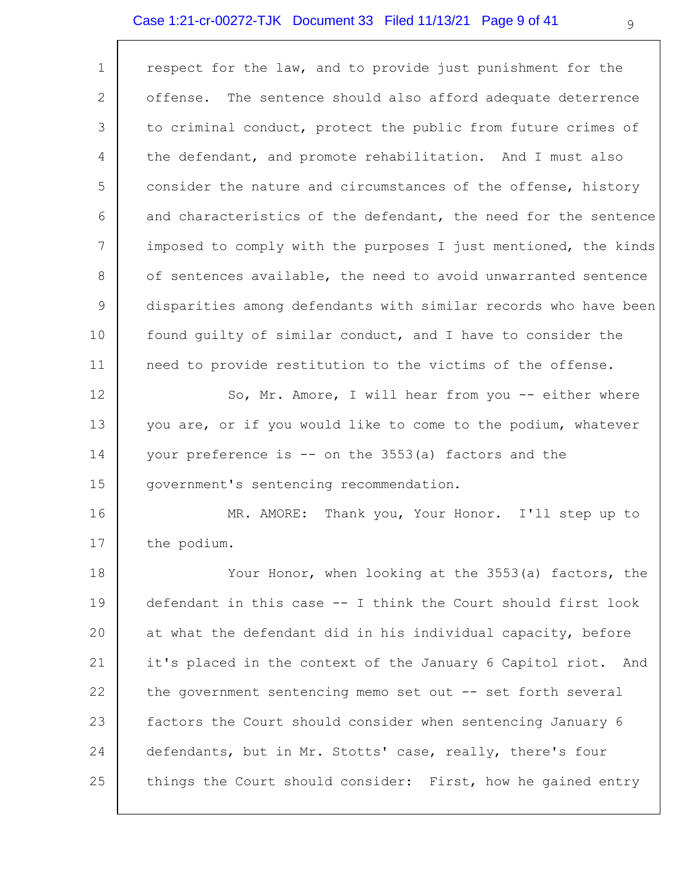## Case 1:21-cr-00272-TJK Document 33 Filed 11/13/21 Page 9 of 41

| $\mathbf 1$           | respect for the law, and to provide just punishment for the     |
|-----------------------|-----------------------------------------------------------------|
| $\mathbf{2}^{\prime}$ | The sentence should also afford adequate deterrence<br>offense. |
| 3                     | to criminal conduct, protect the public from future crimes of   |
| 4                     | the defendant, and promote rehabilitation. And I must also      |
| 5                     | consider the nature and circumstances of the offense, history   |
| 6                     | and characteristics of the defendant, the need for the sentence |
| $7\phantom{.0}$       | imposed to comply with the purposes I just mentioned, the kinds |
| 8                     | of sentences available, the need to avoid unwarranted sentence  |
| 9                     | disparities among defendants with similar records who have been |
| 10                    | found quilty of similar conduct, and I have to consider the     |
| 11                    | need to provide restitution to the victims of the offense.      |
| 12                    | So, Mr. Amore, I will hear from you -- either where             |
| 13                    | you are, or if you would like to come to the podium, whatever   |
| 14                    | your preference is -- on the 3553(a) factors and the            |
| 15                    | government's sentencing recommendation.                         |
| 16                    | Thank you, Your Honor. I'll step up to<br>MR. AMORE:            |
| 17                    | the podium.                                                     |
| 18                    | Your Honor, when looking at the 3553(a) factors, the            |
| 19                    | defendant in this case -- I think the Court should first look   |
| 20                    | at what the defendant did in his individual capacity, before    |
| 21                    | it's placed in the context of the January 6 Capitol riot. And   |
| 22                    | the government sentencing memo set out -- set forth several     |
| 23                    | factors the Court should consider when sentencing January 6     |
| 24                    | defendants, but in Mr. Stotts' case, really, there's four       |
| 25                    | things the Court should consider: First, how he gained entry    |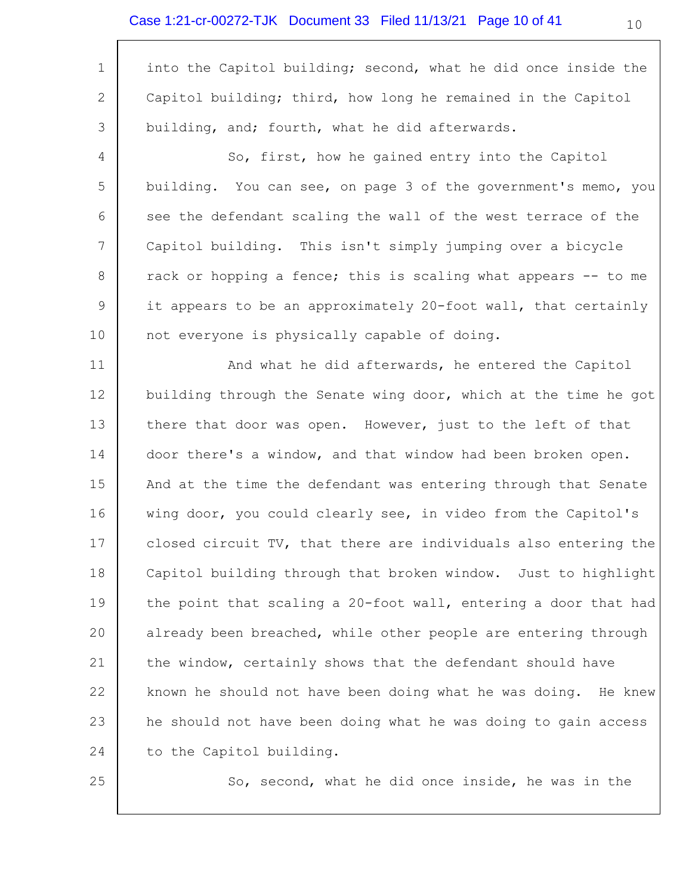## Case 1:21-cr-00272-TJK Document 33 Filed 11/13/21 Page 10 of 41

 $\Gamma$ 

| $\mathbf 1$  | into the Capitol building; second, what he did once inside the  |
|--------------|-----------------------------------------------------------------|
| $\mathbf{2}$ | Capitol building; third, how long he remained in the Capitol    |
| 3            | building, and; fourth, what he did afterwards.                  |
| 4            | So, first, how he gained entry into the Capitol                 |
| 5            | building. You can see, on page 3 of the government's memo, you  |
| 6            | see the defendant scaling the wall of the west terrace of the   |
| 7            | Capitol building. This isn't simply jumping over a bicycle      |
| 8            | rack or hopping a fence; this is scaling what appears -- to me  |
| 9            | it appears to be an approximately 20-foot wall, that certainly  |
| 10           | not everyone is physically capable of doing.                    |
| 11           | And what he did afterwards, he entered the Capitol              |
| 12           | building through the Senate wing door, which at the time he got |
| 13           | there that door was open. However, just to the left of that     |
| 14           | door there's a window, and that window had been broken open.    |
| 15           | And at the time the defendant was entering through that Senate  |
| 16           | wing door, you could clearly see, in video from the Capitol's   |
| 17           | closed circuit TV, that there are individuals also entering the |
| 18           | Capitol building through that broken window. Just to highlight  |
| 19           | the point that scaling a 20-foot wall, entering a door that had |
| 20           | already been breached, while other people are entering through  |
| 21           | the window, certainly shows that the defendant should have      |
| 22           | known he should not have been doing what he was doing. He knew  |
| 23           | he should not have been doing what he was doing to gain access  |
| 24           | to the Capitol building.                                        |
| 25           | So, second, what he did once inside, he was in the              |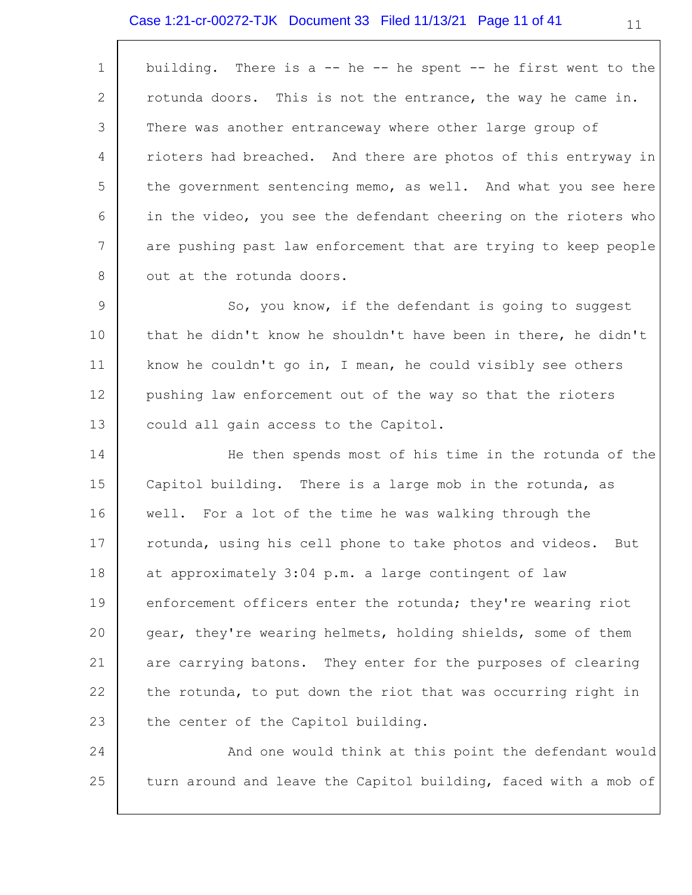## Case 1:21-cr-00272-TJK Document 33 Filed 11/13/21 Page 11 of 41

| $\mathbf 1$     | building. There is a $-$ he $-$ he spent $-$ he first went to the |
|-----------------|-------------------------------------------------------------------|
| 2               | rotunda doors. This is not the entrance, the way he came in.      |
| 3               | There was another entranceway where other large group of          |
| 4               | rioters had breached. And there are photos of this entryway in    |
| 5               | the government sentencing memo, as well. And what you see here    |
| 6               | in the video, you see the defendant cheering on the rioters who   |
| $7\phantom{.0}$ | are pushing past law enforcement that are trying to keep people   |
| 8               | out at the rotunda doors.                                         |
| 9               | So, you know, if the defendant is going to suggest                |
| 10              | that he didn't know he shouldn't have been in there, he didn't    |
| 11              | know he couldn't go in, I mean, he could visibly see others       |
| 12              | pushing law enforcement out of the way so that the rioters        |
| 13              | could all gain access to the Capitol.                             |
| 14              | He then spends most of his time in the rotunda of the             |
| 15              | Capitol building. There is a large mob in the rotunda, as         |
| 16              | well. For a lot of the time he was walking through the            |
| 17              | rotunda, using his cell phone to take photos and videos.<br>But   |
| 18              | at approximately 3:04 p.m. a large contingent of law              |
| 19              | enforcement officers enter the rotunda; they're wearing riot      |
| 20              | gear, they're wearing helmets, holding shields, some of them      |
| 21              | are carrying batons. They enter for the purposes of clearing      |
| 22              | the rotunda, to put down the riot that was occurring right in     |
| 23              | the center of the Capitol building.                               |
| 24              | And one would think at this point the defendant would             |
| 25              | turn around and leave the Capitol building, faced with a mob of   |

11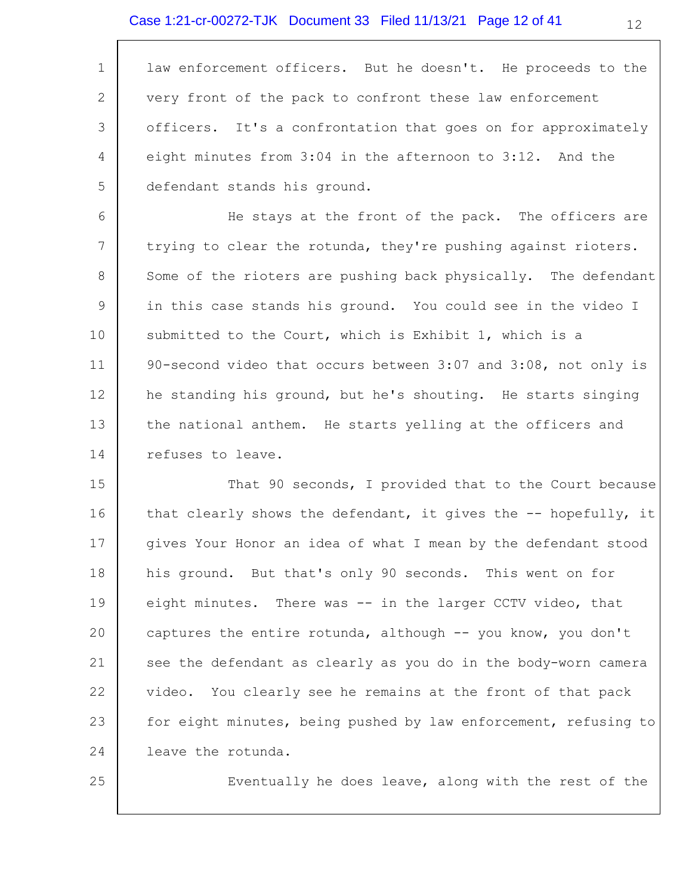1 2 3 4 5 law enforcement officers. But he doesn't. He proceeds to the very front of the pack to confront these law enforcement officers. It's a confrontation that goes on for approximately eight minutes from 3:04 in the afternoon to 3:12. And the defendant stands his ground.

6 7 8 9 10 11 12 13 14 He stays at the front of the pack. The officers are trying to clear the rotunda, they're pushing against rioters. Some of the rioters are pushing back physically. The defendant in this case stands his ground. You could see in the video I submitted to the Court, which is Exhibit 1, which is a 90-second video that occurs between 3:07 and 3:08, not only is he standing his ground, but he's shouting. He starts singing the national anthem. He starts yelling at the officers and refuses to leave.

15 16 17 18 19 20 21 22 23 24 That 90 seconds, I provided that to the Court because that clearly shows the defendant, it gives the  $-$ - hopefully, it gives Your Honor an idea of what I mean by the defendant stood his ground. But that's only 90 seconds. This went on for eight minutes. There was -- in the larger CCTV video, that captures the entire rotunda, although -- you know, you don't see the defendant as clearly as you do in the body-worn camera video. You clearly see he remains at the front of that pack for eight minutes, being pushed by law enforcement, refusing to leave the rotunda.

25

Eventually he does leave, along with the rest of the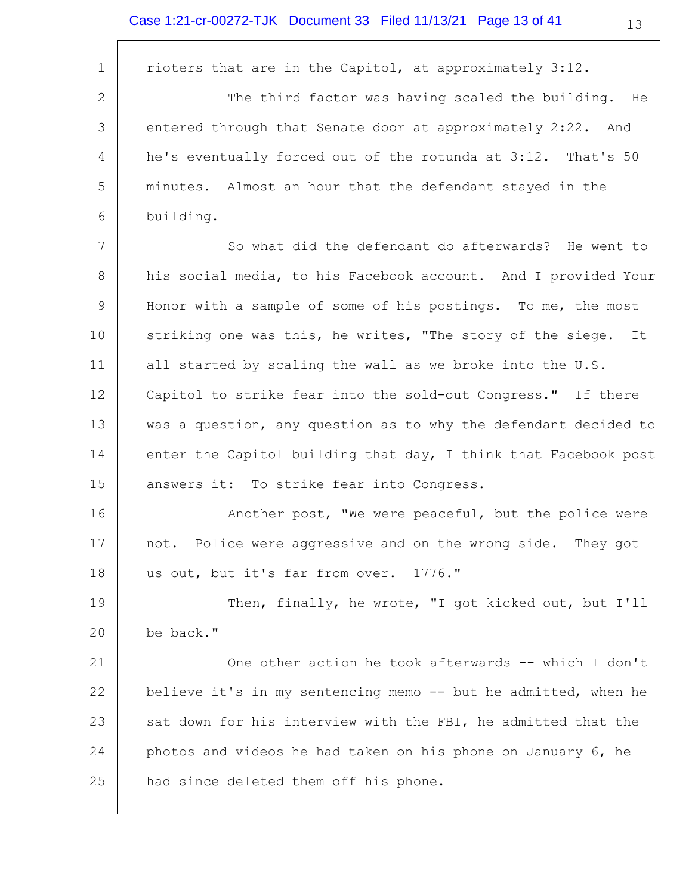$\overline{\Gamma}$ 

| $\mathbf{1}$    | rioters that are in the Capitol, at approximately 3:12.          |
|-----------------|------------------------------------------------------------------|
| 2               | The third factor was having scaled the building. He              |
| 3               | entered through that Senate door at approximately 2:22. And      |
| 4               | he's eventually forced out of the rotunda at 3:12. That's 50     |
| 5               | minutes. Almost an hour that the defendant stayed in the         |
| 6               | building.                                                        |
| $7\phantom{.0}$ | So what did the defendant do afterwards? He went to              |
| 8               | his social media, to his Facebook account. And I provided Your   |
| 9               | Honor with a sample of some of his postings. To me, the most     |
| 10              | striking one was this, he writes, "The story of the siege.<br>It |
| 11              | all started by scaling the wall as we broke into the U.S.        |
| 12              | Capitol to strike fear into the sold-out Congress." If there     |
| 13              | was a question, any question as to why the defendant decided to  |
| 14              | enter the Capitol building that day, I think that Facebook post  |
| 15              | answers it: To strike fear into Congress.                        |
| 16              | Another post, "We were peaceful, but the police were             |
| 17              | not. Police were aggressive and on the wrong side. They got      |
| 18              | us out, but it's far from over. 1776."                           |
| 19              | Then, finally, he wrote, "I got kicked out, but I'll             |
| 20              | be back."                                                        |
| 21              | One other action he took afterwards -- which I don't             |
| 22              | believe it's in my sentencing memo -- but he admitted, when he   |
| 23              | sat down for his interview with the FBI, he admitted that the    |
| 24              | photos and videos he had taken on his phone on January 6, he     |
| 25              | had since deleted them off his phone.                            |
|                 |                                                                  |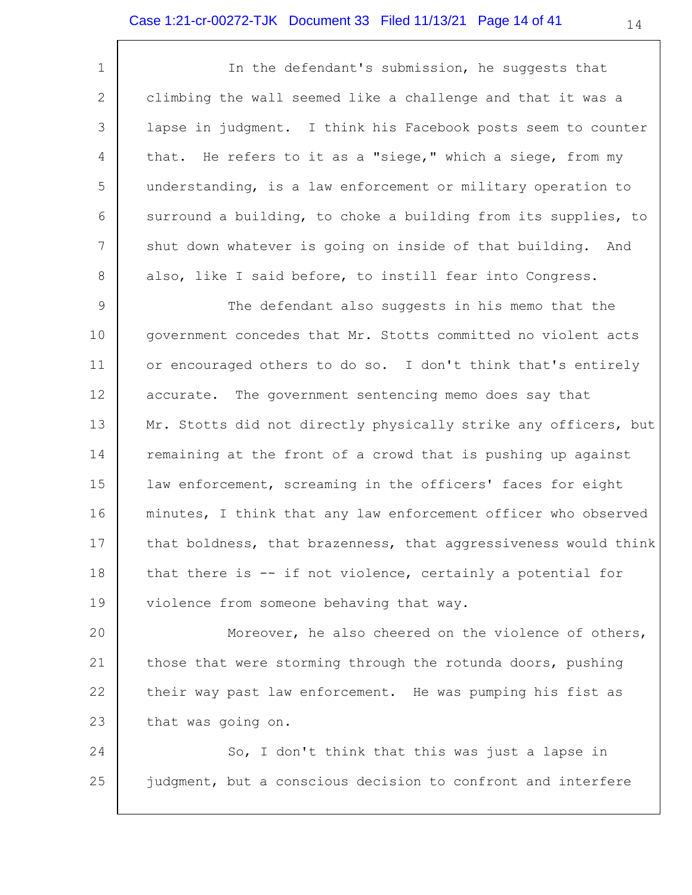### Case 1:21-cr-00272-TJK Document 33 Filed 11/13/21 Page 14 of 41

1 2 3 4 5 6 7 8 In the defendant's submission, he suggests that climbing the wall seemed like a challenge and that it was a lapse in judgment. I think his Facebook posts seem to counter that. He refers to it as a "siege," which a siege, from my understanding, is a law enforcement or military operation to surround a building, to choke a building from its supplies, to shut down whatever is going on inside of that building. And also, like I said before, to instill fear into Congress.

9 10 11 12 13 14 15 16 17 18 19 The defendant also suggests in his memo that the government concedes that Mr. Stotts committed no violent acts or encouraged others to do so. I don't think that's entirely accurate. The government sentencing memo does say that Mr. Stotts did not directly physically strike any officers, but remaining at the front of a crowd that is pushing up against law enforcement, screaming in the officers' faces for eight minutes, I think that any law enforcement officer who observed that boldness, that brazenness, that aggressiveness would think that there is -- if not violence, certainly a potential for violence from someone behaving that way.

20 21 22 23 Moreover, he also cheered on the violence of others, those that were storming through the rotunda doors, pushing their way past law enforcement. He was pumping his fist as that was going on.

24 25 So, I don't think that this was just a lapse in judgment, but a conscious decision to confront and interfere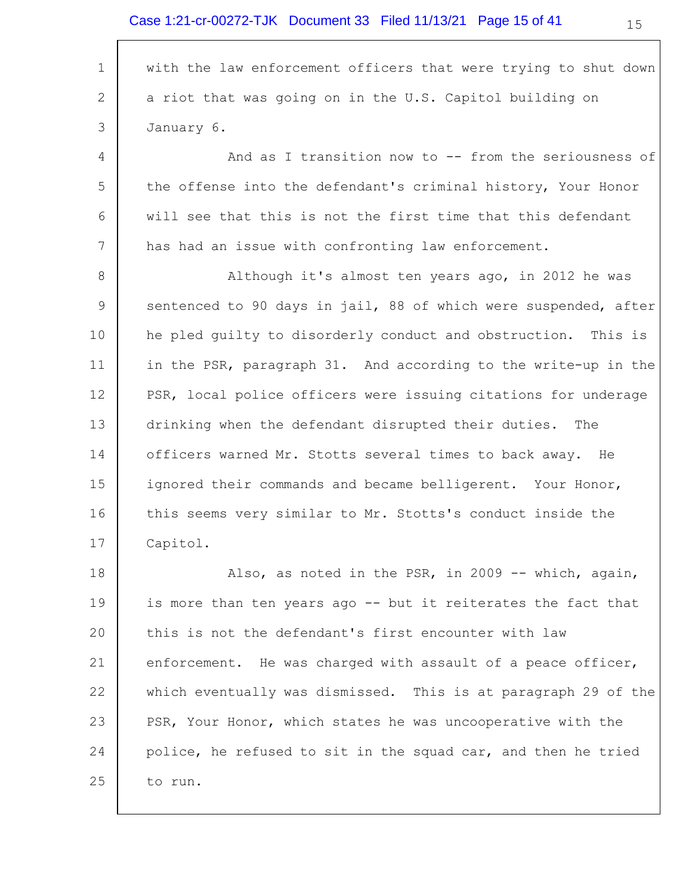1 2 3 4 5 6 7 8 9 10 11 12 13 14 15 16 17 18 19 20 21 22 23 24 25 with the law enforcement officers that were trying to shut down a riot that was going on in the U.S. Capitol building on January 6. And as I transition now to -- from the seriousness of the offense into the defendant's criminal history, Your Honor will see that this is not the first time that this defendant has had an issue with confronting law enforcement. Although it's almost ten years ago, in 2012 he was sentenced to 90 days in jail, 88 of which were suspended, after he pled guilty to disorderly conduct and obstruction. This is in the PSR, paragraph 31. And according to the write-up in the PSR, local police officers were issuing citations for underage drinking when the defendant disrupted their duties. The officers warned Mr. Stotts several times to back away. He ignored their commands and became belligerent. Your Honor, this seems very similar to Mr. Stotts's conduct inside the Capitol. Also, as noted in the PSR, in 2009 -- which, again, is more than ten years ago -- but it reiterates the fact that this is not the defendant's first encounter with law enforcement. He was charged with assault of a peace officer, which eventually was dismissed. This is at paragraph 29 of the PSR, Your Honor, which states he was uncooperative with the police, he refused to sit in the squad car, and then he tried to run.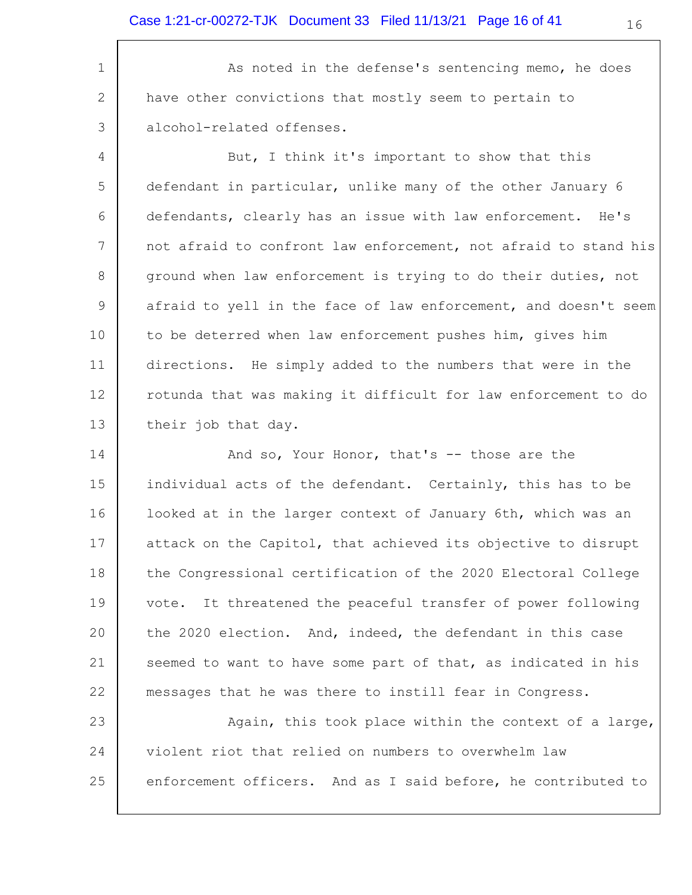1 2 3 As noted in the defense's sentencing memo, he does have other convictions that mostly seem to pertain to alcohol-related offenses.

4 5 6 7 8 9 10 11 12 13 But, I think it's important to show that this defendant in particular, unlike many of the other January 6 defendants, clearly has an issue with law enforcement. He's not afraid to confront law enforcement, not afraid to stand his ground when law enforcement is trying to do their duties, not afraid to yell in the face of law enforcement, and doesn't seem to be deterred when law enforcement pushes him, gives him directions. He simply added to the numbers that were in the rotunda that was making it difficult for law enforcement to do their job that day.

14 15 16 17 18 19 20 21 22 And so, Your Honor, that's -- those are the individual acts of the defendant. Certainly, this has to be looked at in the larger context of January 6th, which was an attack on the Capitol, that achieved its objective to disrupt the Congressional certification of the 2020 Electoral College vote. It threatened the peaceful transfer of power following the 2020 election. And, indeed, the defendant in this case seemed to want to have some part of that, as indicated in his messages that he was there to instill fear in Congress.

23 24 25 Again, this took place within the context of a large, violent riot that relied on numbers to overwhelm law enforcement officers. And as I said before, he contributed to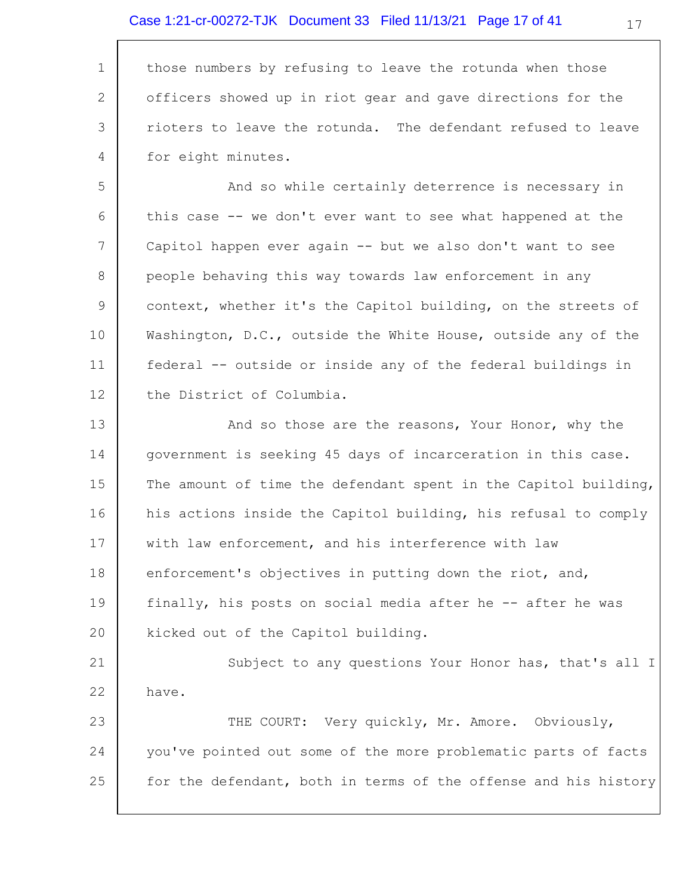### Case 1:21-cr-00272-TJK Document 33 Filed 11/13/21 Page 17 of 41

1 2 3 4 those numbers by refusing to leave the rotunda when those officers showed up in riot gear and gave directions for the rioters to leave the rotunda. The defendant refused to leave for eight minutes.

5 6 7 8 9 10 11 12 And so while certainly deterrence is necessary in this case -- we don't ever want to see what happened at the Capitol happen ever again -- but we also don't want to see people behaving this way towards law enforcement in any context, whether it's the Capitol building, on the streets of Washington, D.C., outside the White House, outside any of the federal -- outside or inside any of the federal buildings in the District of Columbia.

13 14 15 16 17 18 19 20 And so those are the reasons, Your Honor, why the government is seeking 45 days of incarceration in this case. The amount of time the defendant spent in the Capitol building, his actions inside the Capitol building, his refusal to comply with law enforcement, and his interference with law enforcement's objectives in putting down the riot, and, finally, his posts on social media after he -- after he was kicked out of the Capitol building.

21 22 Subject to any questions Your Honor has, that's all I have.

23 24 25 THE COURT: Very quickly, Mr. Amore. Obviously, you've pointed out some of the more problematic parts of facts for the defendant, both in terms of the offense and his history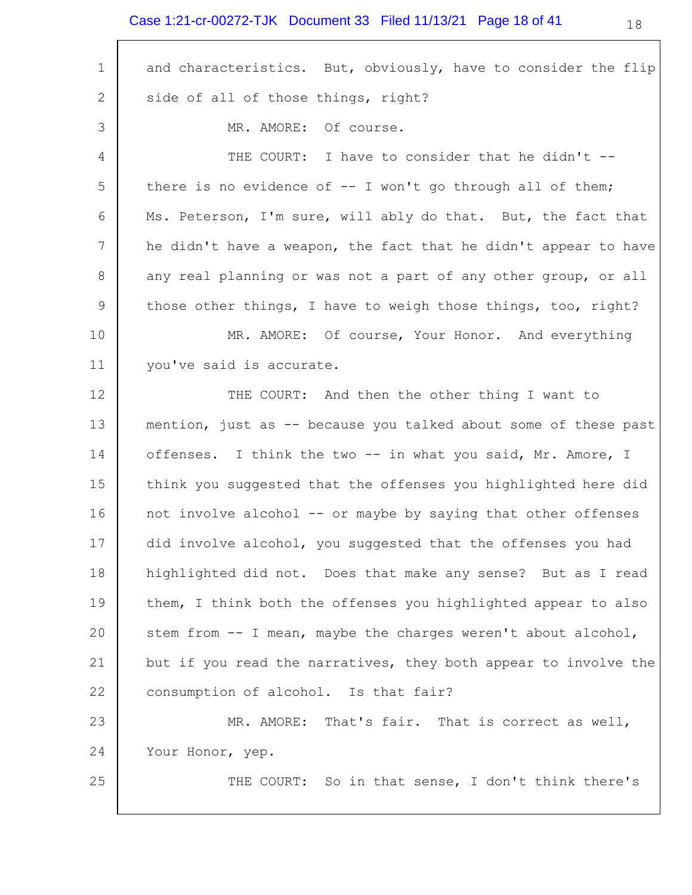## Case 1:21-cr-00272-TJK Document 33 Filed 11/13/21 Page 18 of 41

| $1\,$          | and characteristics. But, obviously, have to consider the flip  |
|----------------|-----------------------------------------------------------------|
| $\mathbf{2}$   | side of all of those things, right?                             |
| 3              | MR. AMORE: Of course.                                           |
| 4              | THE COURT: I have to consider that he didn't --                 |
| 5              | there is no evidence of $-$ I won't go through all of them;     |
| 6              | Ms. Peterson, I'm sure, will ably do that. But, the fact that   |
| $\overline{7}$ | he didn't have a weapon, the fact that he didn't appear to have |
| 8              | any real planning or was not a part of any other group, or all  |
| $\mathsf 9$    | those other things, I have to weigh those things, too, right?   |
| 10             | MR. AMORE: Of course, Your Honor. And everything                |
| 11             | you've said is accurate.                                        |
| 12             | THE COURT: And then the other thing I want to                   |
| 13             | mention, just as -- because you talked about some of these past |
| 14             | offenses. I think the two -- in what you said, Mr. Amore, I     |
| 15             | think you suggested that the offenses you highlighted here did  |
| 16             | not involve alcohol -- or maybe by saying that other offenses   |
| 17             | did involve alcohol, you suggested that the offenses you had    |
| 18             | highlighted did not. Does that make any sense? But as I read    |
| 19             | them, I think both the offenses you highlighted appear to also  |
| 20             | stem from -- I mean, maybe the charges weren't about alcohol,   |
| 21             | but if you read the narratives, they both appear to involve the |
| 22             | consumption of alcohol. Is that fair?                           |
| 23             | MR. AMORE: That's fair. That is correct as well,                |
| 24             | Your Honor, yep.                                                |
| 25             | THE COURT: So in that sense, I don't think there's              |
|                |                                                                 |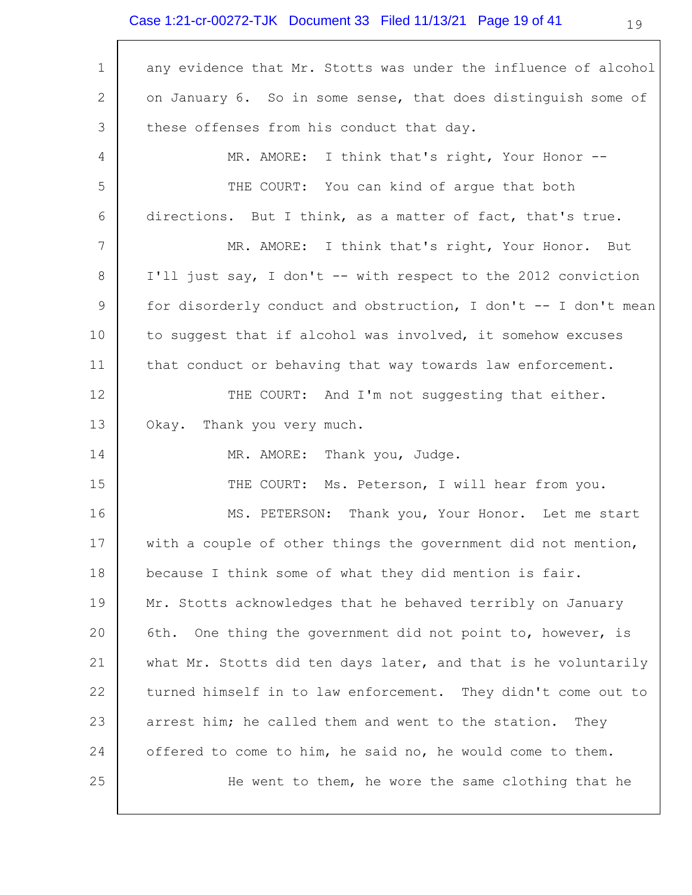# Case 1:21-cr-00272-TJK Document 33 Filed 11/13/21 Page 19 of 41

 $\Gamma$ 

| $\mathbf 1$ | any evidence that Mr. Stotts was under the influence of alcohol |
|-------------|-----------------------------------------------------------------|
| 2           | on January 6. So in some sense, that does distinguish some of   |
| 3           | these offenses from his conduct that day.                       |
| 4           | MR. AMORE: I think that's right, Your Honor --                  |
| 5           | THE COURT: You can kind of arque that both                      |
| 6           | directions. But I think, as a matter of fact, that's true.      |
| 7           | MR. AMORE: I think that's right, Your Honor. But                |
| 8           | I'll just say, I don't -- with respect to the 2012 conviction   |
| 9           | for disorderly conduct and obstruction, I don't -- I don't mean |
| 10          | to suggest that if alcohol was involved, it somehow excuses     |
| 11          | that conduct or behaving that way towards law enforcement.      |
| 12          | THE COURT: And I'm not suggesting that either.                  |
| 13          | Okay.<br>Thank you very much.                                   |
| 14          | MR. AMORE: Thank you, Judge.                                    |
| 15          | THE COURT: Ms. Peterson, I will hear from you.                  |
| 16          | MS. PETERSON: Thank you, Your Honor. Let me start               |
| 17          | with a couple of other things the government did not mention,   |
| 18          | because I think some of what they did mention is fair.          |
| 19          | Mr. Stotts acknowledges that he behaved terribly on January     |
| 20          | One thing the government did not point to, however, is<br>6th.  |
| 21          | what Mr. Stotts did ten days later, and that is he voluntarily  |
| 22          | turned himself in to law enforcement. They didn't come out to   |
| 23          | arrest him; he called them and went to the station.<br>They     |
| 24          | offered to come to him, he said no, he would come to them.      |
| 25          | He went to them, he wore the same clothing that he              |
|             |                                                                 |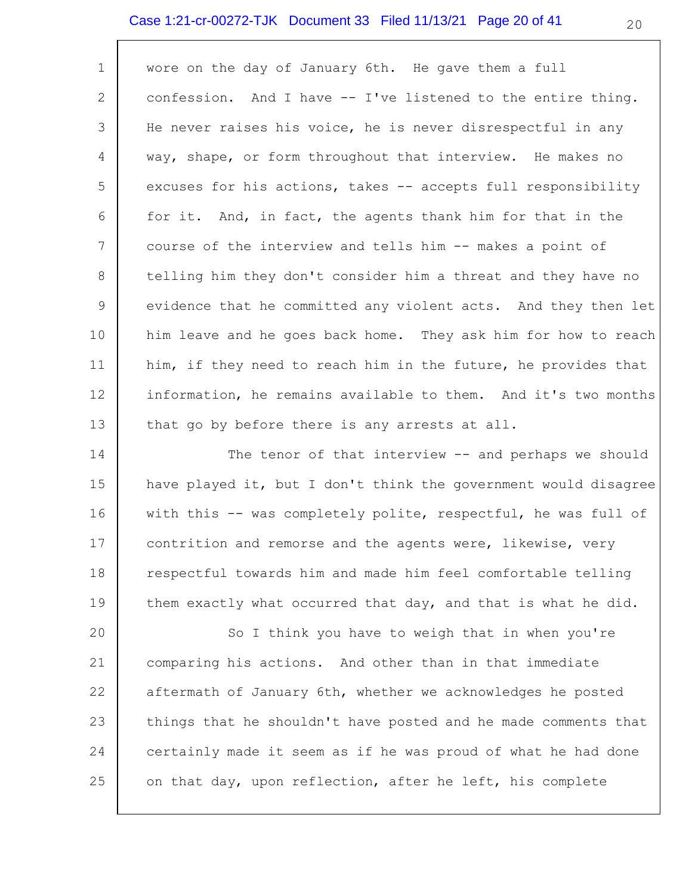#### Case 1:21-cr-00272-TJK Document 33 Filed 11/13/21 Page 20 of 41

| $\mathbf 1$     | wore on the day of January 6th. He gave them a full            |
|-----------------|----------------------------------------------------------------|
| 2               | confession. And I have -- I've listened to the entire thing.   |
| 3               | He never raises his voice, he is never disrespectful in any    |
| 4               | way, shape, or form throughout that interview. He makes no     |
| 5               | excuses for his actions, takes -- accepts full responsibility  |
| 6               | for it. And, in fact, the agents thank him for that in the     |
| $7\overline{ }$ | course of the interview and tells him -- makes a point of      |
| 8               | telling him they don't consider him a threat and they have no  |
| 9               | evidence that he committed any violent acts. And they then let |
| 10              | him leave and he goes back home. They ask him for how to reach |
| 11              | him, if they need to reach him in the future, he provides that |
| 12              | information, he remains available to them. And it's two months |
| 13              | that go by before there is any arrests at all.                 |

14 15 16 17 18 19 The tenor of that interview -- and perhaps we should have played it, but I don't think the government would disagree with this -- was completely polite, respectful, he was full of contrition and remorse and the agents were, likewise, very respectful towards him and made him feel comfortable telling them exactly what occurred that day, and that is what he did.

20 21 22 23 24 25 So I think you have to weigh that in when you're comparing his actions. And other than in that immediate aftermath of January 6th, whether we acknowledges he posted things that he shouldn't have posted and he made comments that certainly made it seem as if he was proud of what he had done on that day, upon reflection, after he left, his complete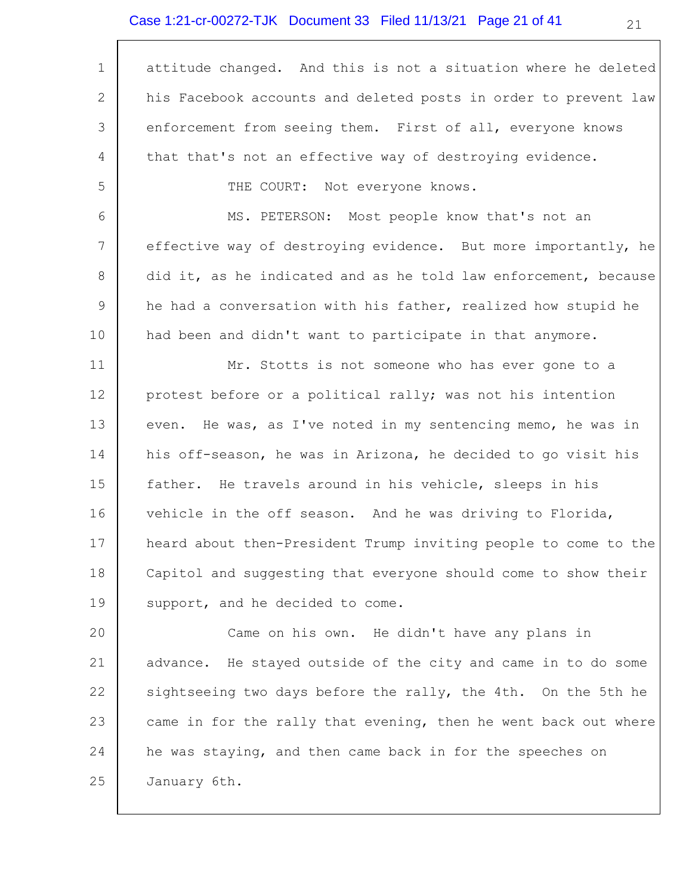## Case 1:21-cr-00272-TJK Document 33 Filed 11/13/21 Page 21 of 41

 $\overline{\Gamma}$ 

| $\mathbf 1$ | attitude changed. And this is not a situation where he deleted  |
|-------------|-----------------------------------------------------------------|
| 2           | his Facebook accounts and deleted posts in order to prevent law |
| 3           | enforcement from seeing them. First of all, everyone knows      |
| 4           | that that's not an effective way of destroying evidence.        |
| 5           | THE COURT:<br>Not everyone knows.                               |
| 6           | MS. PETERSON: Most people know that's not an                    |
| 7           | effective way of destroying evidence. But more importantly, he  |
| 8           | did it, as he indicated and as he told law enforcement, because |
| $\mathsf 9$ | he had a conversation with his father, realized how stupid he   |
| 10          | had been and didn't want to participate in that anymore.        |
| 11          | Mr. Stotts is not someone who has ever gone to a                |
| 12          | protest before or a political rally; was not his intention      |
| 13          | even. He was, as I've noted in my sentencing memo, he was in    |
| 14          | his off-season, he was in Arizona, he decided to go visit his   |
| 15          | father. He travels around in his vehicle, sleeps in his         |
| 16          | vehicle in the off season. And he was driving to Florida,       |
| 17          | heard about then-President Trump inviting people to come to the |
| 18          | Capitol and suggesting that everyone should come to show their  |
| 19          | support, and he decided to come.                                |
| 20          | Came on his own. He didn't have any plans in                    |
| 21          | advance. He stayed outside of the city and came in to do some   |
| 22          | sightseeing two days before the rally, the 4th. On the 5th he   |
| 23          | came in for the rally that evening, then he went back out where |
| 24          | he was staying, and then came back in for the speeches on       |
| 25          | January 6th.                                                    |

21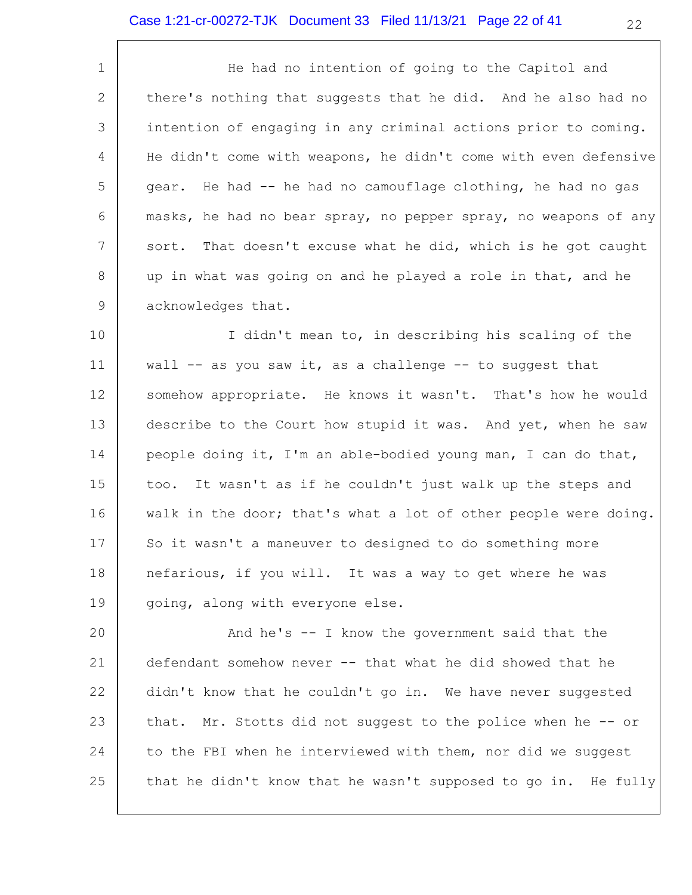1 2 3 4 5 6 7 8 9 He had no intention of going to the Capitol and there's nothing that suggests that he did. And he also had no intention of engaging in any criminal actions prior to coming. He didn't come with weapons, he didn't come with even defensive gear. He had -- he had no camouflage clothing, he had no gas masks, he had no bear spray, no pepper spray, no weapons of any sort. That doesn't excuse what he did, which is he got caught up in what was going on and he played a role in that, and he acknowledges that.

10 11 12 13 14 15 16 17 18 19 I didn't mean to, in describing his scaling of the wall  $--$  as you saw it, as a challenge  $--$  to suggest that somehow appropriate. He knows it wasn't. That's how he would describe to the Court how stupid it was. And yet, when he saw people doing it, I'm an able-bodied young man, I can do that, too. It wasn't as if he couldn't just walk up the steps and walk in the door; that's what a lot of other people were doing. So it wasn't a maneuver to designed to do something more nefarious, if you will. It was a way to get where he was going, along with everyone else.

20 21 22 23 24 25 And he's -- I know the government said that the defendant somehow never -- that what he did showed that he didn't know that he couldn't go in. We have never suggested that. Mr. Stotts did not suggest to the police when he -- or to the FBI when he interviewed with them, nor did we suggest that he didn't know that he wasn't supposed to go in. He fully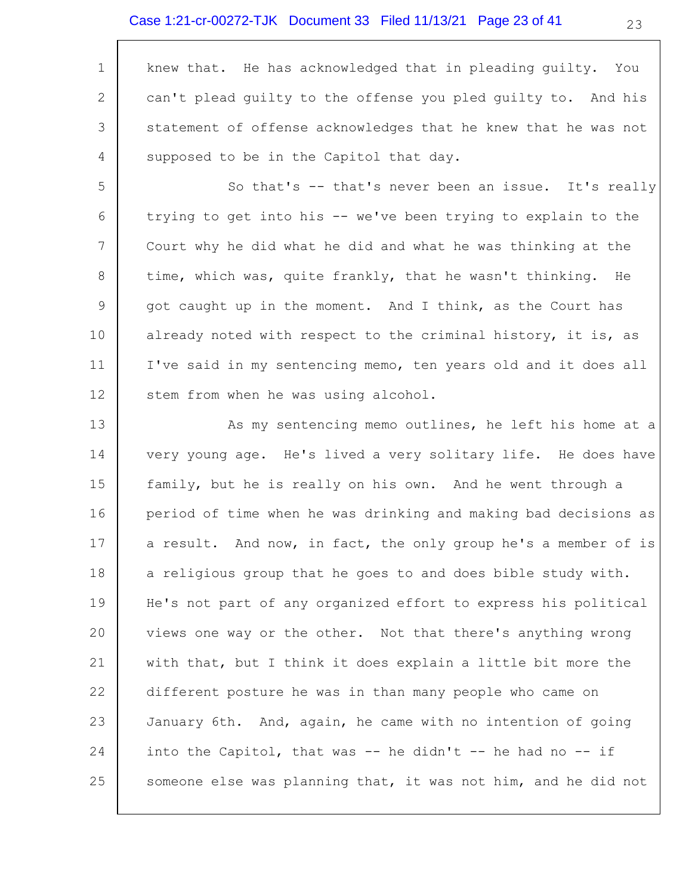#### Case 1:21-cr-00272-TJK Document 33 Filed 11/13/21 Page 23 of 41

|                | knew that. He has acknowledged that in pleading quilty. You    |
|----------------|----------------------------------------------------------------|
| $\overline{2}$ | can't plead quilty to the offense you pled guilty to. And his  |
| 3              | statement of offense acknowledges that he knew that he was not |
| $\overline{4}$ | supposed to be in the Capitol that day.                        |
| 5              | So that's -- that's never been an issue. It's really           |

6 7 8 9 10 11 12 trying to get into his -- we've been trying to explain to the Court why he did what he did and what he was thinking at the time, which was, quite frankly, that he wasn't thinking. He got caught up in the moment. And I think, as the Court has already noted with respect to the criminal history, it is, as I've said in my sentencing memo, ten years old and it does all stem from when he was using alcohol.

13 14 15 16 17 18 19 20 21 22 23 24 25 As my sentencing memo outlines, he left his home at a very young age. He's lived a very solitary life. He does have family, but he is really on his own. And he went through a period of time when he was drinking and making bad decisions as a result. And now, in fact, the only group he's a member of is a religious group that he goes to and does bible study with. He's not part of any organized effort to express his political views one way or the other. Not that there's anything wrong with that, but I think it does explain a little bit more the different posture he was in than many people who came on January 6th. And, again, he came with no intention of going into the Capitol, that was  $-$  he didn't  $-$  he had no  $-$  if someone else was planning that, it was not him, and he did not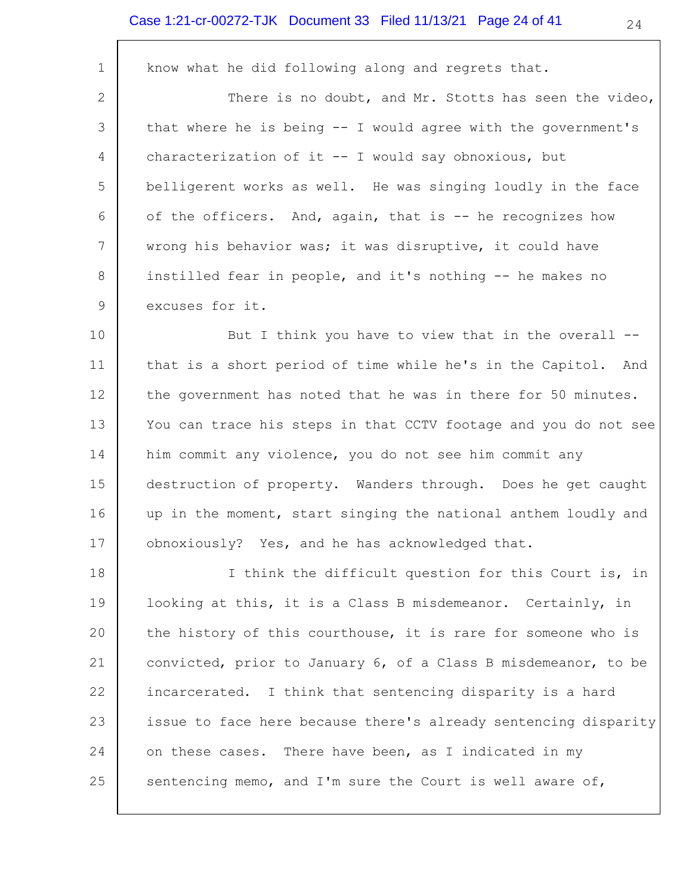#### Case 1:21-cr-00272-TJK Document 33 Filed 11/13/21 Page 24 of 41

1 2 3 4 5 6 7 8 9 know what he did following along and regrets that. There is no doubt, and Mr. Stotts has seen the video, that where he is being -- I would agree with the government's characterization of it -- I would say obnoxious, but belligerent works as well. He was singing loudly in the face of the officers. And, again, that is -- he recognizes how wrong his behavior was; it was disruptive, it could have instilled fear in people, and it's nothing -- he makes no excuses for it.

10 11 12 13 14 15 16 17 But I think you have to view that in the overall - that is a short period of time while he's in the Capitol. And the government has noted that he was in there for 50 minutes. You can trace his steps in that CCTV footage and you do not see him commit any violence, you do not see him commit any destruction of property. Wanders through. Does he get caught up in the moment, start singing the national anthem loudly and obnoxiously? Yes, and he has acknowledged that.

18 19 20 21 22 23 24 25 I think the difficult question for this Court is, in looking at this, it is a Class B misdemeanor. Certainly, in the history of this courthouse, it is rare for someone who is convicted, prior to January 6, of a Class B misdemeanor, to be incarcerated. I think that sentencing disparity is a hard issue to face here because there's already sentencing disparity on these cases. There have been, as I indicated in my sentencing memo, and I'm sure the Court is well aware of,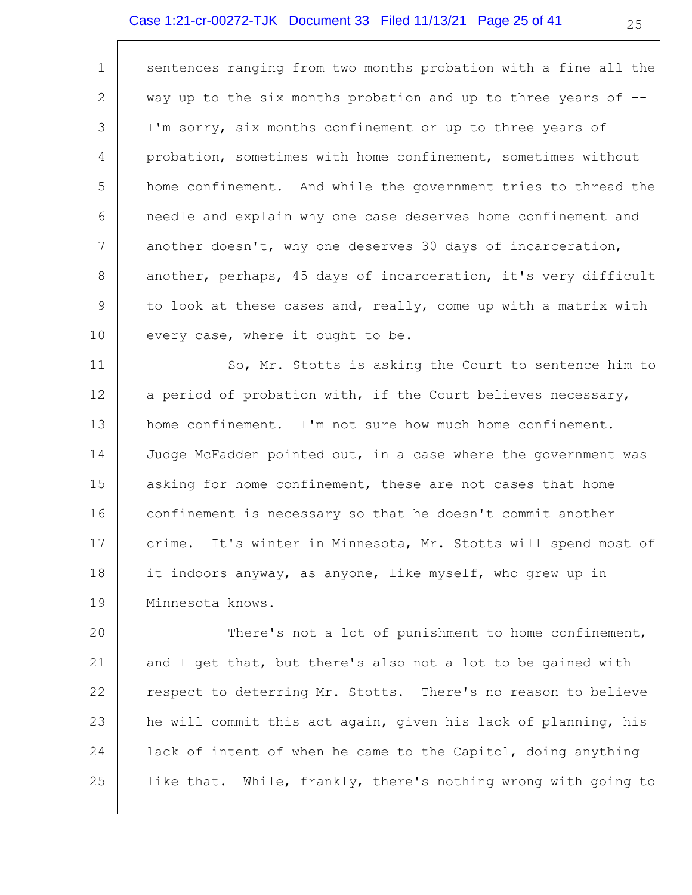### Case 1:21-cr-00272-TJK Document 33 Filed 11/13/21 Page 25 of 41

 $\Gamma$ 

| $\mathbf 1$ | sentences ranging from two months probation with a fine all the   |
|-------------|-------------------------------------------------------------------|
| 2           | way up to the six months probation and up to three years of --    |
| 3           | I'm sorry, six months confinement or up to three years of         |
| 4           | probation, sometimes with home confinement, sometimes without     |
| 5           | home confinement. And while the government tries to thread the    |
| 6           | needle and explain why one case deserves home confinement and     |
| 7           | another doesn't, why one deserves 30 days of incarceration,       |
| 8           | another, perhaps, 45 days of incarceration, it's very difficult   |
| $\mathsf 9$ | to look at these cases and, really, come up with a matrix with    |
| 10          | every case, where it ought to be.                                 |
| 11          | So, Mr. Stotts is asking the Court to sentence him to             |
| 12          | a period of probation with, if the Court believes necessary,      |
| 13          | home confinement. I'm not sure how much home confinement.         |
| 14          | Judge McFadden pointed out, in a case where the government was    |
| 15          | asking for home confinement, these are not cases that home        |
| 16          | confinement is necessary so that he doesn't commit another        |
| 17          | It's winter in Minnesota, Mr. Stotts will spend most of<br>crime. |
| 18          | it indoors anyway, as anyone, like myself, who grew up in         |
| 19          | Minnesota knows.                                                  |
| 20          | There's not a lot of punishment to home confinement,              |
|             |                                                                   |

21 22 23 24 25 and I get that, but there's also not a lot to be gained with respect to deterring Mr. Stotts. There's no reason to believe he will commit this act again, given his lack of planning, his lack of intent of when he came to the Capitol, doing anything like that. While, frankly, there's nothing wrong with going to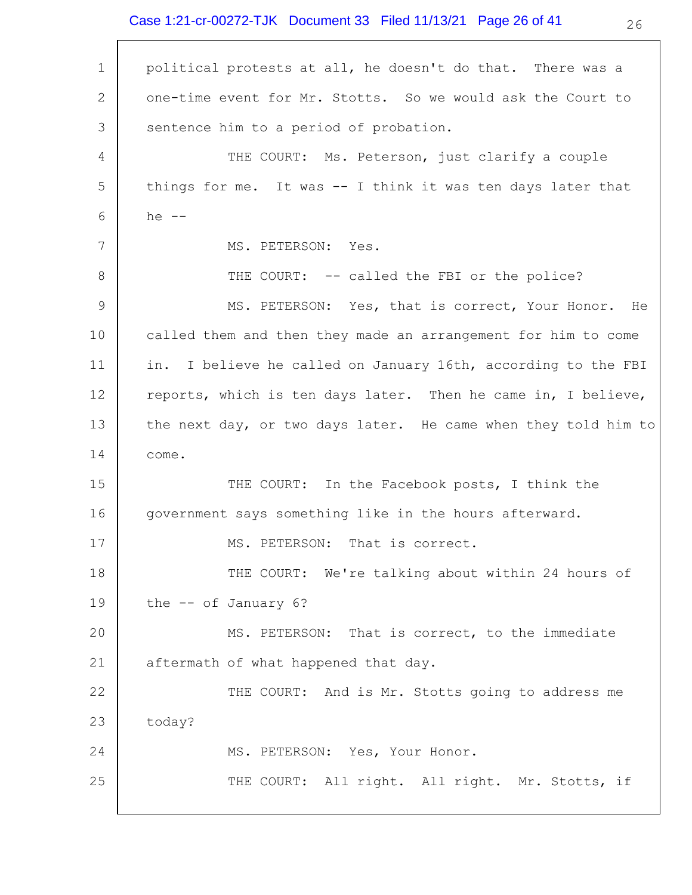Case 1:21-cr-00272-TJK Document 33 Filed 11/13/21 Page 26 of 41

| $\mathbf 1$     | political protests at all, he doesn't do that. There was a     |
|-----------------|----------------------------------------------------------------|
| 2               | one-time event for Mr. Stotts. So we would ask the Court to    |
| 3               | sentence him to a period of probation.                         |
| 4               | THE COURT: Ms. Peterson, just clarify a couple                 |
| 5               | things for me. It was -- I think it was ten days later that    |
| 6               | he $--$                                                        |
| $7\phantom{.0}$ | MS. PETERSON: Yes.                                             |
| 8               | THE COURT: -- called the FBI or the police?                    |
| 9               | MS. PETERSON: Yes, that is correct, Your Honor. He             |
| 10 <sub>o</sub> | called them and then they made an arrangement for him to come  |
| 11              | in. I believe he called on January 16th, according to the FBI  |
| 12              | reports, which is ten days later. Then he came in, I believe,  |
| 13              | the next day, or two days later. He came when they told him to |
| 14              | come.                                                          |
| 15              | THE COURT: In the Facebook posts, I think the                  |
| 16              | government says something like in the hours afterward.         |
| 17              | MS. PETERSON: That is correct.                                 |
| 18              | THE COURT: We're talking about within 24 hours of              |
| 19              | the $- -$ of January 6?                                        |
| 20              | MS. PETERSON: That is correct, to the immediate                |
| 21              | aftermath of what happened that day.                           |
| 22              | THE COURT: And is Mr. Stotts going to address me               |
| 23              | today?                                                         |
| 24              | MS. PETERSON: Yes, Your Honor.                                 |
| 25              | THE COURT: All right. All right. Mr. Stotts, if                |
|                 |                                                                |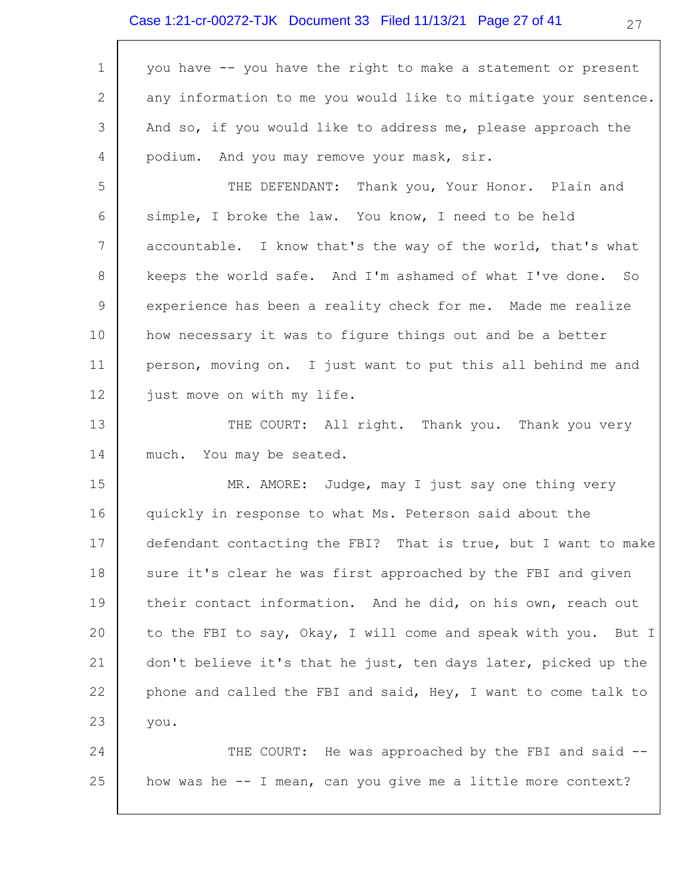# Case 1:21-cr-00272-TJK Document 33 Filed 11/13/21 Page 27 of 41

 $\Gamma$ 

| $\mathbf 1$ | you have -- you have the right to make a statement or present   |
|-------------|-----------------------------------------------------------------|
| 2           | any information to me you would like to mitigate your sentence. |
| 3           | And so, if you would like to address me, please approach the    |
| 4           | podium. And you may remove your mask, sir.                      |
| 5           | THE DEFENDANT: Thank you, Your Honor. Plain and                 |
| 6           | simple, I broke the law. You know, I need to be held            |
| 7           | accountable. I know that's the way of the world, that's what    |
| 8           | keeps the world safe. And I'm ashamed of what I've done. So     |
| $\mathsf 9$ | experience has been a reality check for me. Made me realize     |
| 10          | how necessary it was to figure things out and be a better       |
| 11          | person, moving on. I just want to put this all behind me and    |
| 12          | just move on with my life.                                      |
| 13          | THE COURT: All right. Thank you. Thank you very                 |
| 14          | much. You may be seated.                                        |
| 15          | MR. AMORE: Judge, may I just say one thing very                 |
| 16          | quickly in response to what Ms. Peterson said about the         |
| 17          | defendant contacting the FBI? That is true, but I want to make  |
| 18          | sure it's clear he was first approached by the FBI and given    |
| 19          | their contact information. And he did, on his own, reach out    |
| 20          | to the FBI to say, Okay, I will come and speak with you. But I  |
| 21          | don't believe it's that he just, ten days later, picked up the  |
| 22          | phone and called the FBI and said, Hey, I want to come talk to  |
| 23          | you.                                                            |
| 24          | THE COURT: He was approached by the FBI and said --             |
| 25          | how was he -- I mean, can you give me a little more context?    |
|             |                                                                 |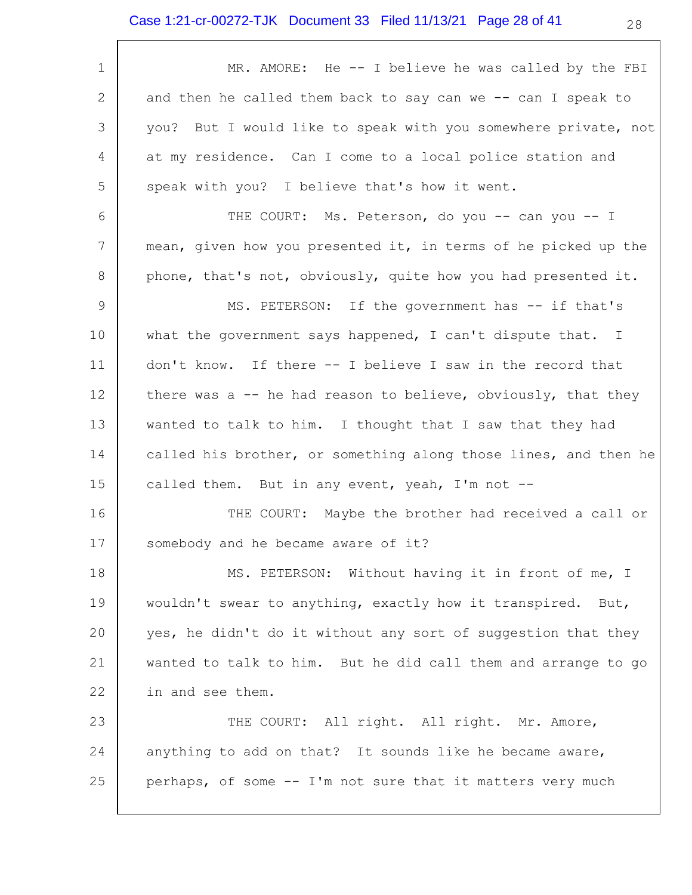| $\mathbf 1$ | MR. AMORE: He -- I believe he was called by the FBI             |
|-------------|-----------------------------------------------------------------|
| 2           | and then he called them back to say can we -- can I speak to    |
| 3           | you? But I would like to speak with you somewhere private, not  |
| 4           | at my residence. Can I come to a local police station and       |
| 5           | speak with you? I believe that's how it went.                   |
| 6           | THE COURT: Ms. Peterson, do you -- can you -- I                 |
| 7           | mean, given how you presented it, in terms of he picked up the  |
| 8           | phone, that's not, obviously, quite how you had presented it.   |
| 9           | MS. PETERSON: If the government has -- if that's                |
| 10          | what the government says happened, I can't dispute that. I      |
| 11          | don't know. If there -- I believe I saw in the record that      |
| 12          | there was a -- he had reason to believe, obviously, that they   |
| 13          | wanted to talk to him. I thought that I saw that they had       |
| 14          | called his brother, or something along those lines, and then he |
| 15          | called them. But in any event, yeah, I'm not --                 |
| 16          | THE COURT: Maybe the brother had received a call or             |
| 17          | somebody and he became aware of it?                             |
| 18          | MS. PETERSON: Without having it in front of me, I               |
| 19          | wouldn't swear to anything, exactly how it transpired. But,     |
| 20          | yes, he didn't do it without any sort of suggestion that they   |
| 21          | wanted to talk to him. But he did call them and arrange to go   |
| 22          | in and see them.                                                |
| 23          | THE COURT: All right. All right. Mr. Amore,                     |
| 24          | anything to add on that? It sounds like he became aware,        |
| 25          | perhaps, of some -- I'm not sure that it matters very much      |
|             |                                                                 |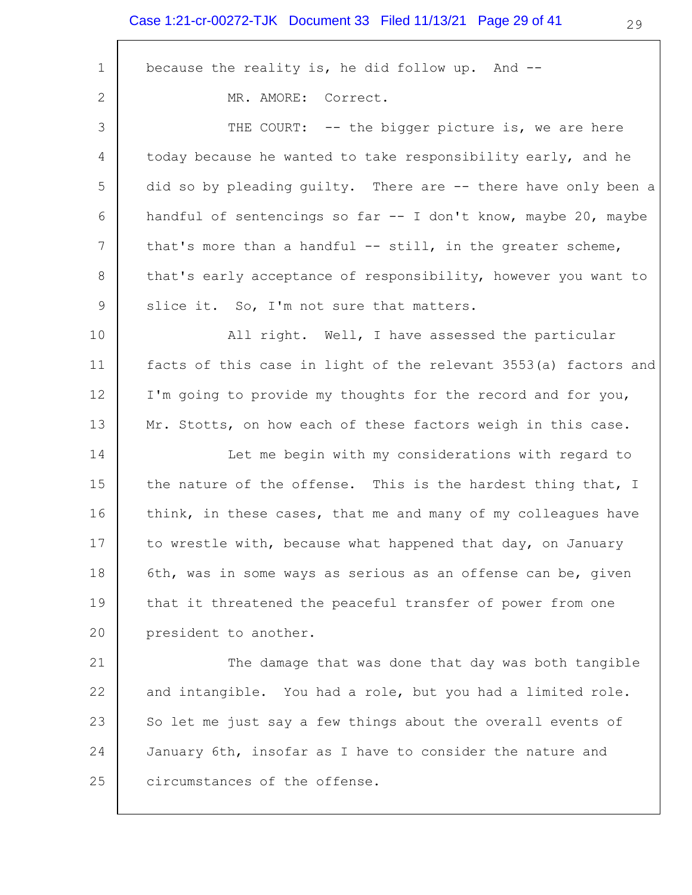$\overline{\phantom{a}}$ 

| $\mathbf 1$ | because the reality is, he did follow up. And --                |
|-------------|-----------------------------------------------------------------|
| 2           | MR. AMORE:<br>Correct.                                          |
| 3           | THE COURT: -- the bigger picture is, we are here                |
| 4           | today because he wanted to take responsibility early, and he    |
| 5           | did so by pleading guilty. There are -- there have only been a  |
| 6           | handful of sentencings so far -- I don't know, maybe 20, maybe  |
| 7           | that's more than a handful -- still, in the greater scheme,     |
| 8           | that's early acceptance of responsibility, however you want to  |
| 9           | slice it. So, I'm not sure that matters.                        |
| 10          | All right. Well, I have assessed the particular                 |
| 11          | facts of this case in light of the relevant 3553(a) factors and |
| 12          | I'm going to provide my thoughts for the record and for you,    |
| 13          | Mr. Stotts, on how each of these factors weigh in this case.    |
| 14          | Let me begin with my considerations with regard to              |
| 15          | the nature of the offense. This is the hardest thing that, I    |
| 16          | think, in these cases, that me and many of my colleagues have   |
| 17          | to wrestle with, because what happened that day, on January     |
| 18          | 6th, was in some ways as serious as an offense can be, given    |
| 19          | that it threatened the peaceful transfer of power from one      |
| 20          | president to another.                                           |
| 21          | The damage that was done that day was both tangible             |
| 22          | and intangible. You had a role, but you had a limited role.     |
| 23          | So let me just say a few things about the overall events of     |
| 24          | January 6th, insofar as I have to consider the nature and       |
| 25          | circumstances of the offense.                                   |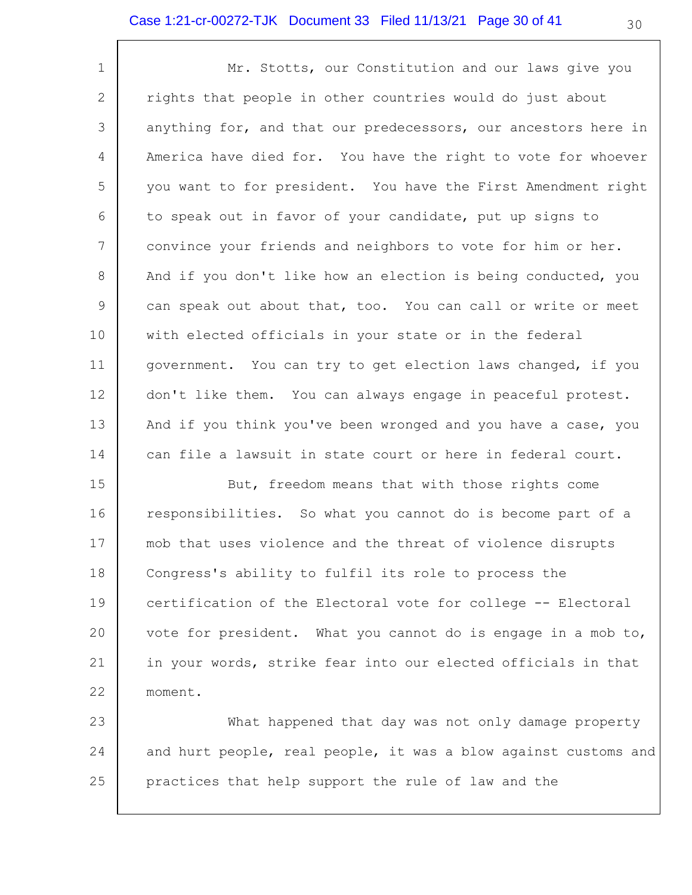1 2 3 4 5 6 7 8 9 10 11 12 13 14 Mr. Stotts, our Constitution and our laws give you rights that people in other countries would do just about anything for, and that our predecessors, our ancestors here in America have died for. You have the right to vote for whoever you want to for president. You have the First Amendment right to speak out in favor of your candidate, put up signs to convince your friends and neighbors to vote for him or her. And if you don't like how an election is being conducted, you can speak out about that, too. You can call or write or meet with elected officials in your state or in the federal government. You can try to get election laws changed, if you don't like them. You can always engage in peaceful protest. And if you think you've been wronged and you have a case, you can file a lawsuit in state court or here in federal court.

15 16 17 18 19 20 21 22 But, freedom means that with those rights come responsibilities. So what you cannot do is become part of a mob that uses violence and the threat of violence disrupts Congress's ability to fulfil its role to process the certification of the Electoral vote for college -- Electoral vote for president. What you cannot do is engage in a mob to, in your words, strike fear into our elected officials in that moment.

23 24 25 What happened that day was not only damage property and hurt people, real people, it was a blow against customs and practices that help support the rule of law and the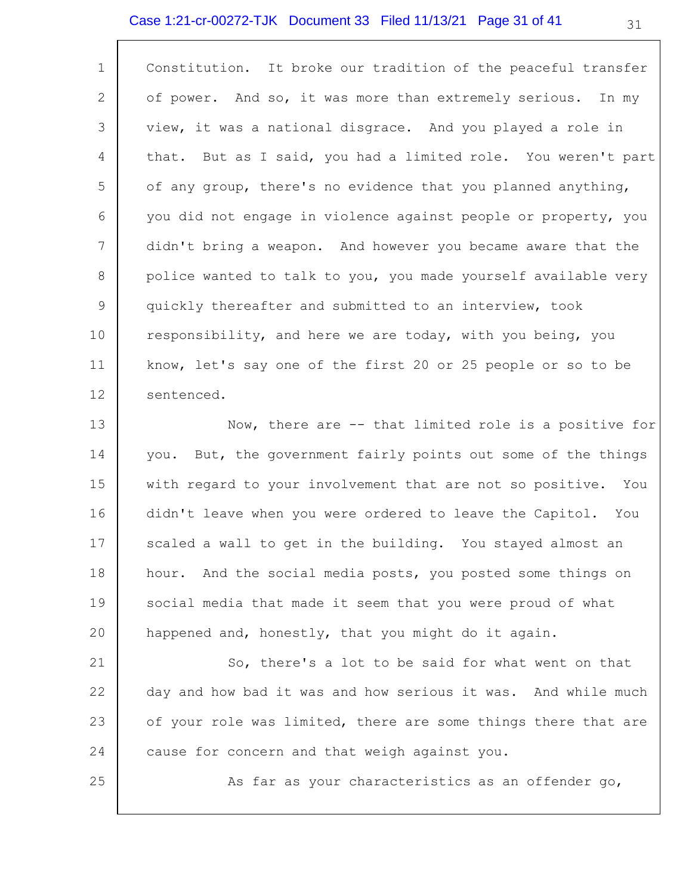### Case 1:21-cr-00272-TJK Document 33 Filed 11/13/21 Page 31 of 41

| $\mathbf{1}$   | Constitution. It broke our tradition of the peaceful transfer  |
|----------------|----------------------------------------------------------------|
| 2              | of power. And so, it was more than extremely serious. In my    |
| 3              | view, it was a national disgrace. And you played a role in     |
| 4              | that. But as I said, you had a limited role. You weren't part  |
| 5              | of any group, there's no evidence that you planned anything,   |
| 6              | you did not engage in violence against people or property, you |
| $\overline{7}$ | didn't bring a weapon. And however you became aware that the   |
| 8              | police wanted to talk to you, you made yourself available very |
| 9              | quickly thereafter and submitted to an interview, took         |
| 10             | responsibility, and here we are today, with you being, you     |
| 11             | know, let's say one of the first 20 or 25 people or so to be   |
| 12             | sentenced.                                                     |
| 13             | Now, there are -- that limited role is a positive for          |
| 14             | you. But, the government fairly points out some of the things  |

15 16 17 18 19 20 with regard to your involvement that are not so positive. You didn't leave when you were ordered to leave the Capitol. You scaled a wall to get in the building. You stayed almost an hour. And the social media posts, you posted some things on social media that made it seem that you were proud of what happened and, honestly, that you might do it again.

21 22 23 24 So, there's a lot to be said for what went on that day and how bad it was and how serious it was. And while much of your role was limited, there are some things there that are cause for concern and that weigh against you.

25

As far as your characteristics as an offender go,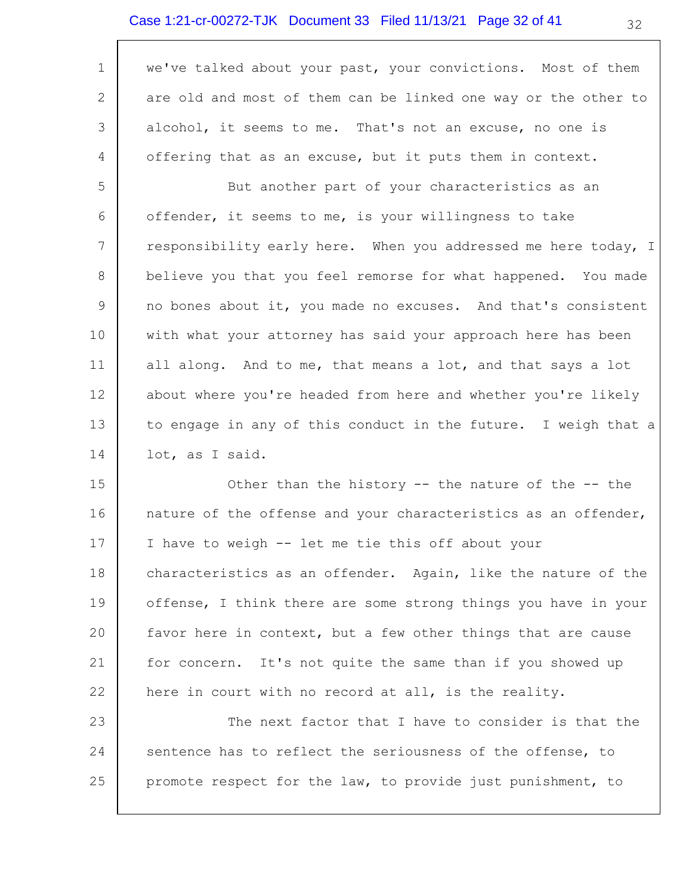| $\mathbf 1$   | we've talked about your past, your convictions. Most of them                                                   |
|---------------|----------------------------------------------------------------------------------------------------------------|
| 2             | are old and most of them can be linked one way or the other to                                                 |
| 3             | alcohol, it seems to me. That's not an excuse, no one is                                                       |
| 4             | offering that as an excuse, but it puts them in context.                                                       |
| 5             | But another part of your characteristics as an                                                                 |
| 6             | offender, it seems to me, is your willingness to take                                                          |
| 7             | responsibility early here. When you addressed me here today, I                                                 |
| 8             | believe you that you feel remorse for what happened. You made                                                  |
| 9             | no bones about it, you made no excuses. And that's consistent                                                  |
| 10            | with what your attorney has said your approach here has been                                                   |
| 11            | all along. And to me, that means a lot, and that says a lot                                                    |
| 12            | about where you're headed from here and whether you're likely                                                  |
| 13            | to engage in any of this conduct in the future. I weigh that a                                                 |
| 14            | lot, as I said.                                                                                                |
| $\sim$ $\sim$ | art and the state of the state of the state of the state of the state of the state of the state of the state o |

15 16 17 18 19 20 21 22 Other than the history -- the nature of the -- the nature of the offense and your characteristics as an offender, I have to weigh -- let me tie this off about your characteristics as an offender. Again, like the nature of the offense, I think there are some strong things you have in your favor here in context, but a few other things that are cause for concern. It's not quite the same than if you showed up here in court with no record at all, is the reality.

23 24 25 The next factor that I have to consider is that the sentence has to reflect the seriousness of the offense, to promote respect for the law, to provide just punishment, to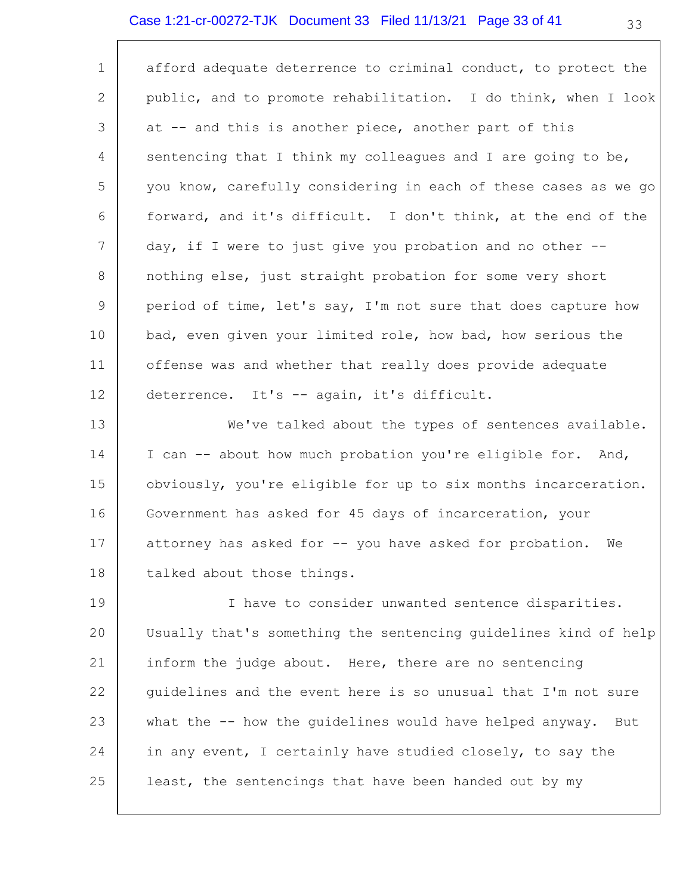## Case 1:21-cr-00272-TJK Document 33 Filed 11/13/21 Page 33 of 41

| 1           | afford adequate deterrence to criminal conduct, to protect the  |
|-------------|-----------------------------------------------------------------|
| 2           | public, and to promote rehabilitation. I do think, when I look  |
| 3           | at -- and this is another piece, another part of this           |
| 4           | sentencing that I think my colleagues and I are going to be,    |
| 5           | you know, carefully considering in each of these cases as we go |
| 6           | forward, and it's difficult. I don't think, at the end of the   |
| 7           | day, if I were to just give you probation and no other --       |
| 8           | nothing else, just straight probation for some very short       |
| $\mathsf 9$ | period of time, let's say, I'm not sure that does capture how   |
| 10          | bad, even given your limited role, how bad, how serious the     |
| 11          | offense was and whether that really does provide adequate       |
| 12          | deterrence. It's -- again, it's difficult.                      |
| 13          | We've talked about the types of sentences available.            |
| 14          | I can -- about how much probation you're eligible for. And,     |
| 15          | obviously, you're eligible for up to six months incarceration.  |
| 16          | Government has asked for 45 days of incarceration, your         |
| 17          | attorney has asked for -- you have asked for probation. We      |
| 18          | talked about those things.                                      |
| 19          | I have to consider unwanted sentence disparities.               |
| 20          | Usually that's something the sentencing guidelines kind of help |
| 21          | inform the judge about. Here, there are no sentencing           |
| 22          | guidelines and the event here is so unusual that I'm not sure   |
| 23          | what the -- how the guidelines would have helped anyway.<br>But |
| 24          | in any event, I certainly have studied closely, to say the      |
| 25          | least, the sentencings that have been handed out by my          |
|             |                                                                 |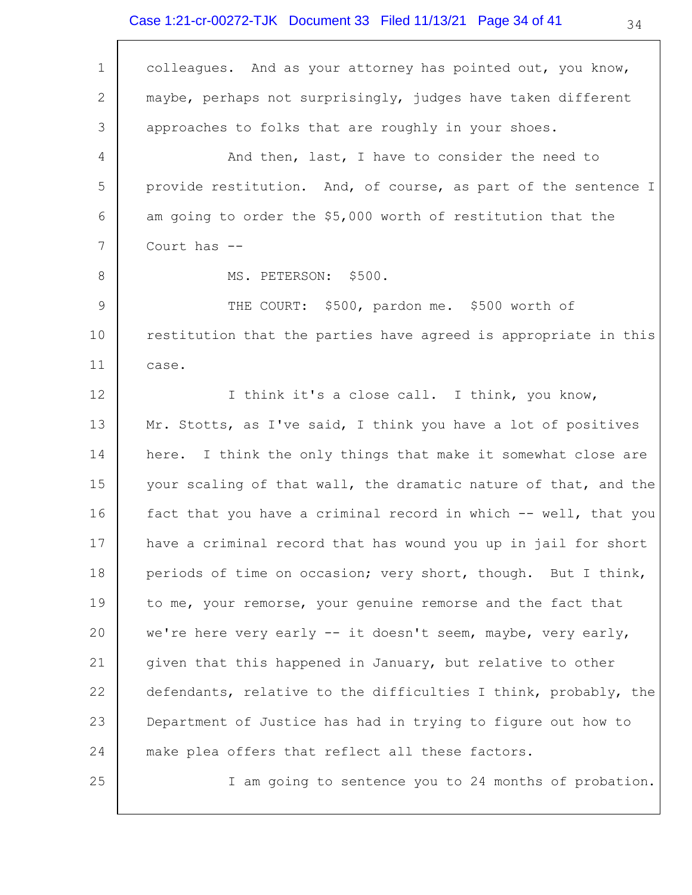## Case 1:21-cr-00272-TJK Document 33 Filed 11/13/21 Page 34 of 41

 $\Gamma$ 

| $\mathbf 1$    | colleagues. And as your attorney has pointed out, you know,     |
|----------------|-----------------------------------------------------------------|
| 2              | maybe, perhaps not surprisingly, judges have taken different    |
| 3              | approaches to folks that are roughly in your shoes.             |
| 4              | And then, last, I have to consider the need to                  |
| 5              | provide restitution. And, of course, as part of the sentence I  |
| 6              | am going to order the \$5,000 worth of restitution that the     |
| 7              | Court has --                                                    |
| 8              | MS. PETERSON: \$500.                                            |
| $\overline{9}$ | THE COURT: \$500, pardon me. \$500 worth of                     |
| 10             | restitution that the parties have agreed is appropriate in this |
| 11             | case.                                                           |
| 12             | I think it's a close call. I think, you know,                   |
| 13             | Mr. Stotts, as I've said, I think you have a lot of positives   |
| 14             | here. I think the only things that make it somewhat close are   |
| 15             | your scaling of that wall, the dramatic nature of that, and the |
| 16             | fact that you have a criminal record in which -- well, that you |
| 17             | have a criminal record that has wound you up in jail for short  |
| 18             | periods of time on occasion; very short, though. But I think,   |
| 19             | to me, your remorse, your genuine remorse and the fact that     |
| 20             | we're here very early -- it doesn't seem, maybe, very early,    |
| 21             | given that this happened in January, but relative to other      |
| 22             | defendants, relative to the difficulties I think, probably, the |
| 23             | Department of Justice has had in trying to figure out how to    |
| 24             | make plea offers that reflect all these factors.                |
| 25             | I am going to sentence you to 24 months of probation.           |

34

⅂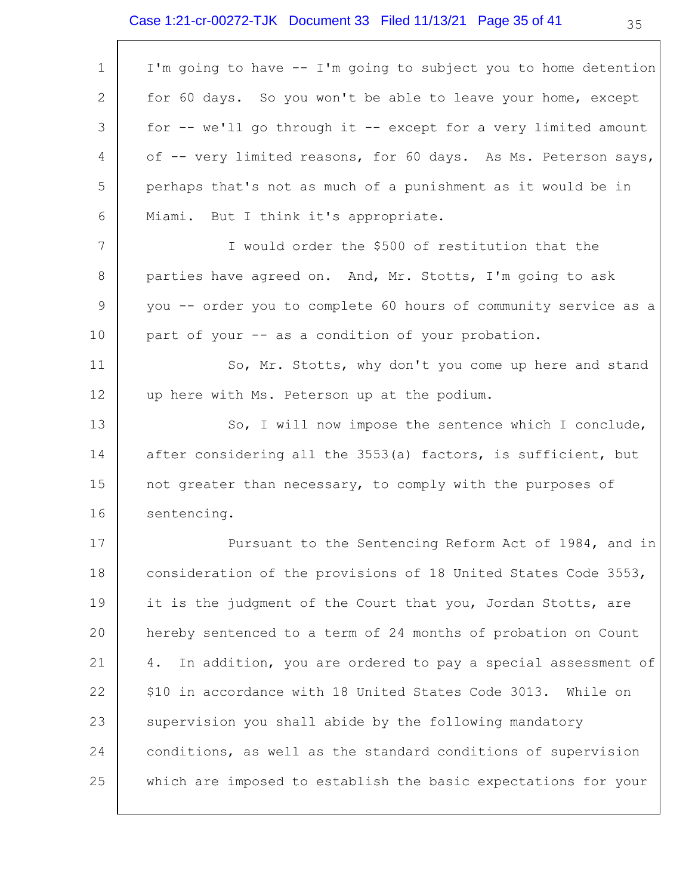| I'm going to have -- I'm going to subject you to home detention   |
|-------------------------------------------------------------------|
| for 60 days. So you won't be able to leave your home, except      |
| for -- we'll go through it -- except for a very limited amount    |
| of -- very limited reasons, for 60 days. As Ms. Peterson says,    |
| perhaps that's not as much of a punishment as it would be in      |
| Miami. But I think it's appropriate.                              |
| I would order the \$500 of restitution that the                   |
| parties have agreed on. And, Mr. Stotts, I'm going to ask         |
| you -- order you to complete 60 hours of community service as a   |
| part of your -- as a condition of your probation.                 |
| So, Mr. Stotts, why don't you come up here and stand              |
| up here with Ms. Peterson up at the podium.                       |
| So, I will now impose the sentence which I conclude,              |
| after considering all the 3553(a) factors, is sufficient, but     |
| not greater than necessary, to comply with the purposes of        |
| sentencing.                                                       |
| Pursuant to the Sentencing Reform Act of 1984, and in             |
| consideration of the provisions of 18 United States Code 3553,    |
| it is the judgment of the Court that you, Jordan Stotts, are      |
| hereby sentenced to a term of 24 months of probation on Count     |
| In addition, you are ordered to pay a special assessment of<br>4. |
| \$10 in accordance with 18 United States Code 3013. While on      |
| supervision you shall abide by the following mandatory            |
| conditions, as well as the standard conditions of supervision     |
| which are imposed to establish the basic expectations for your    |
|                                                                   |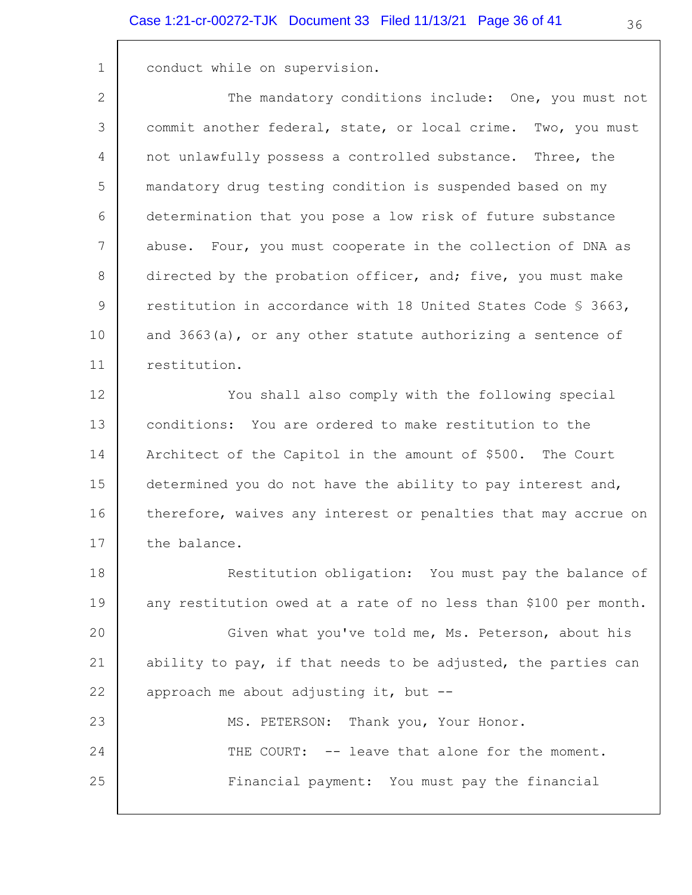1 conduct while on supervision.

2 3 4 5 6 7 8 9 10 11 The mandatory conditions include: One, you must not commit another federal, state, or local crime. Two, you must not unlawfully possess a controlled substance. Three, the mandatory drug testing condition is suspended based on my determination that you pose a low risk of future substance abuse. Four, you must cooperate in the collection of DNA as directed by the probation officer, and; five, you must make restitution in accordance with 18 United States Code § 3663, and 3663(a), or any other statute authorizing a sentence of restitution.

12 13 14 15 16 17 You shall also comply with the following special conditions: You are ordered to make restitution to the Architect of the Capitol in the amount of \$500. The Court determined you do not have the ability to pay interest and, therefore, waives any interest or penalties that may accrue on the balance.

18 19 Restitution obligation: You must pay the balance of any restitution owed at a rate of no less than \$100 per month.

20 21 22 Given what you've told me, Ms. Peterson, about his ability to pay, if that needs to be adjusted, the parties can approach me about adjusting it, but --

| 23 |  | MS. PETERSON: Thank you, Your Honor.           |
|----|--|------------------------------------------------|
| 24 |  | THE COURT: -- leave that alone for the moment. |
| 25 |  | Financial payment: You must pay the financial  |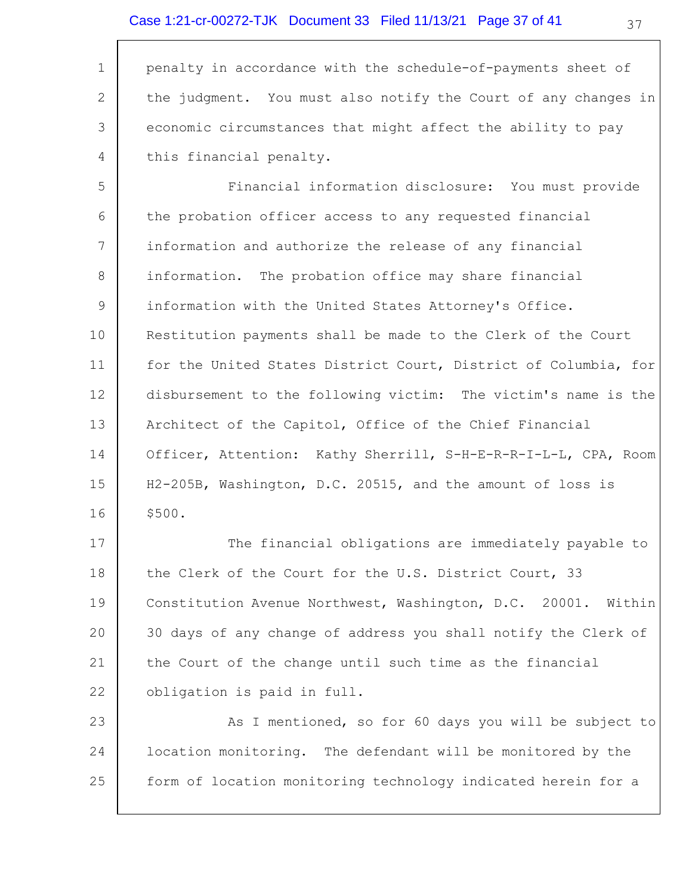1 2 3 4 penalty in accordance with the schedule-of-payments sheet of the judgment. You must also notify the Court of any changes in economic circumstances that might affect the ability to pay this financial penalty.

5 6 7 8 9 10 11 12 13 14 15 16 Financial information disclosure: You must provide the probation officer access to any requested financial information and authorize the release of any financial information. The probation office may share financial information with the United States Attorney's Office. Restitution payments shall be made to the Clerk of the Court for the United States District Court, District of Columbia, for disbursement to the following victim: The victim's name is the Architect of the Capitol, Office of the Chief Financial Officer, Attention: Kathy Sherrill, S-H-E-R-R-I-L-L, CPA, Room H2-205B, Washington, D.C. 20515, and the amount of loss is \$500.

17 18 19 20 21 22 The financial obligations are immediately payable to the Clerk of the Court for the U.S. District Court, 33 Constitution Avenue Northwest, Washington, D.C. 20001. Within 30 days of any change of address you shall notify the Clerk of the Court of the change until such time as the financial obligation is paid in full.

23 24 25 As I mentioned, so for 60 days you will be subject to location monitoring. The defendant will be monitored by the form of location monitoring technology indicated herein for a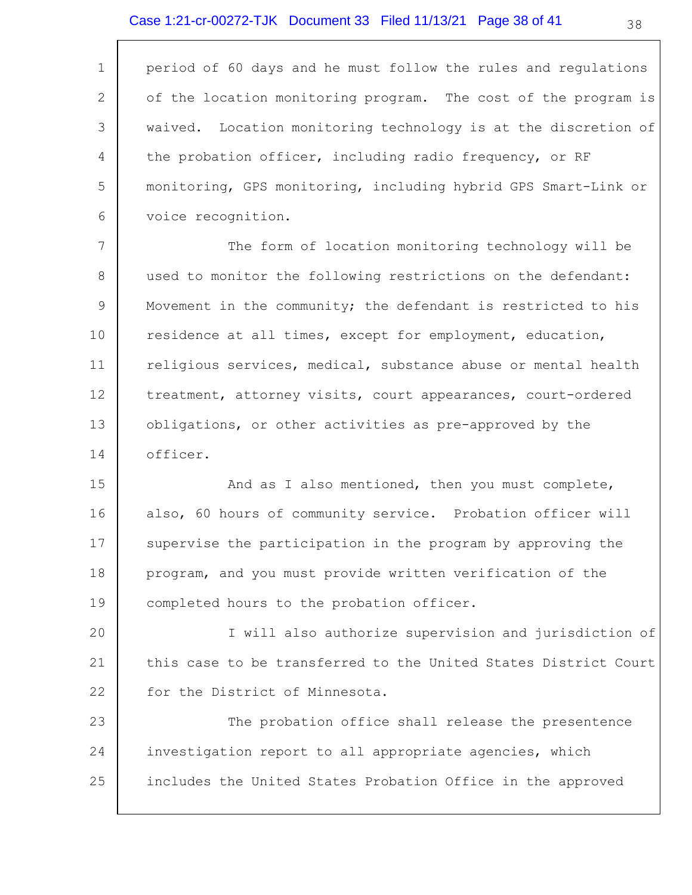## Case 1:21-cr-00272-TJK Document 33 Filed 11/13/21 Page 38 of 41

| $\mathbf 1$     | period of 60 days and he must follow the rules and regulations  |
|-----------------|-----------------------------------------------------------------|
| 2               | of the location monitoring program. The cost of the program is  |
| 3               | waived. Location monitoring technology is at the discretion of  |
| 4               | the probation officer, including radio frequency, or RF         |
| 5               | monitoring, GPS monitoring, including hybrid GPS Smart-Link or  |
| 6               | voice recognition.                                              |
| $7\phantom{.0}$ | The form of location monitoring technology will be              |
| 8               | used to monitor the following restrictions on the defendant:    |
| 9               | Movement in the community; the defendant is restricted to his   |
| 10              | residence at all times, except for employment, education,       |
| 11              | religious services, medical, substance abuse or mental health   |
| 12              | treatment, attorney visits, court appearances, court-ordered    |
| 13              | obligations, or other activities as pre-approved by the         |
| 14              | officer.                                                        |
| 15              | And as I also mentioned, then you must complete,                |
| 16              | also, 60 hours of community service. Probation officer will     |
| 17              | supervise the participation in the program by approving the     |
| 18              | program, and you must provide written verification of the       |
| 19              | completed hours to the probation officer.                       |
| 20              | I will also authorize supervision and jurisdiction of           |
| 21              | this case to be transferred to the United States District Court |
| 22              | for the District of Minnesota.                                  |
| 23              | The probation office shall release the presentence              |
| 24              | investigation report to all appropriate agencies, which         |
| 25              | includes the United States Probation Office in the approved     |
|                 |                                                                 |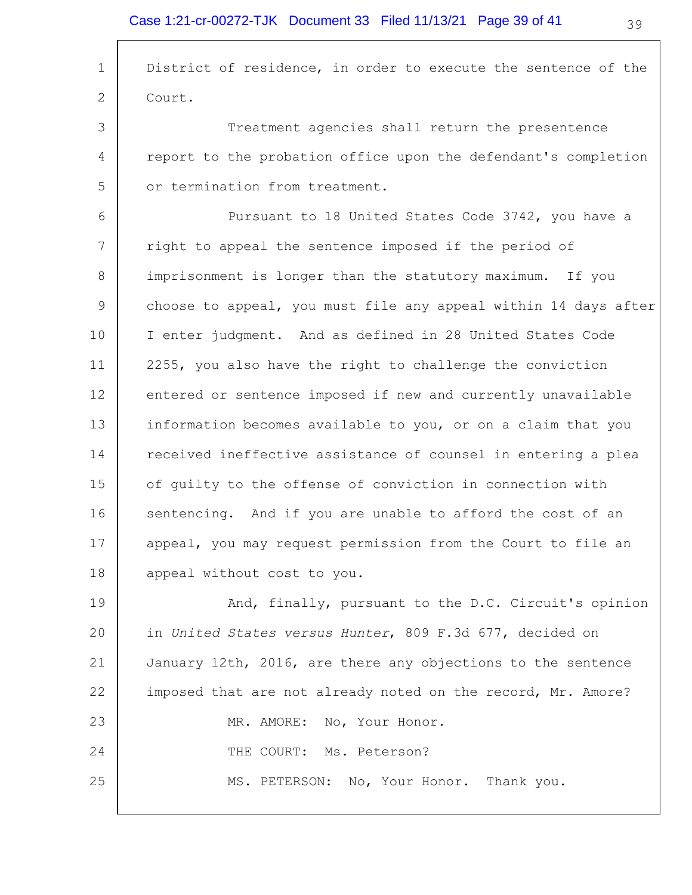$\overline{\Gamma}$ 

| $\mathbf{1}$ | District of residence, in order to execute the sentence of the  |
|--------------|-----------------------------------------------------------------|
| 2            | Court.                                                          |
| 3            | Treatment agencies shall return the presentence                 |
| 4            | report to the probation office upon the defendant's completion  |
| 5            | or termination from treatment.                                  |
| 6            | Pursuant to 18 United States Code 3742, you have a              |
| 7            | right to appeal the sentence imposed if the period of           |
| 8            | imprisonment is longer than the statutory maximum. If you       |
| 9            | choose to appeal, you must file any appeal within 14 days after |
| 10           | I enter judgment. And as defined in 28 United States Code       |
| 11           | 2255, you also have the right to challenge the conviction       |
| 12           | entered or sentence imposed if new and currently unavailable    |
| 13           | information becomes available to you, or on a claim that you    |
| 14           | received ineffective assistance of counsel in entering a plea   |
| 15           | of guilty to the offense of conviction in connection with       |
| 16           | sentencing. And if you are unable to afford the cost of an      |
| 17           | appeal, you may request permission from the Court to file an    |
| 18           | appeal without cost to you.                                     |
| 19           | And, finally, pursuant to the D.C. Circuit's opinion            |
| 20           | in United States versus Hunter, 809 F.3d 677, decided on        |
| 21           | January 12th, 2016, are there any objections to the sentence    |
| 22           | imposed that are not already noted on the record, Mr. Amore?    |
| 23           | MR. AMORE: No, Your Honor.                                      |
| 24           | THE COURT: Ms. Peterson?                                        |
| 25           | MS. PETERSON: No, Your Honor. Thank you.                        |
|              |                                                                 |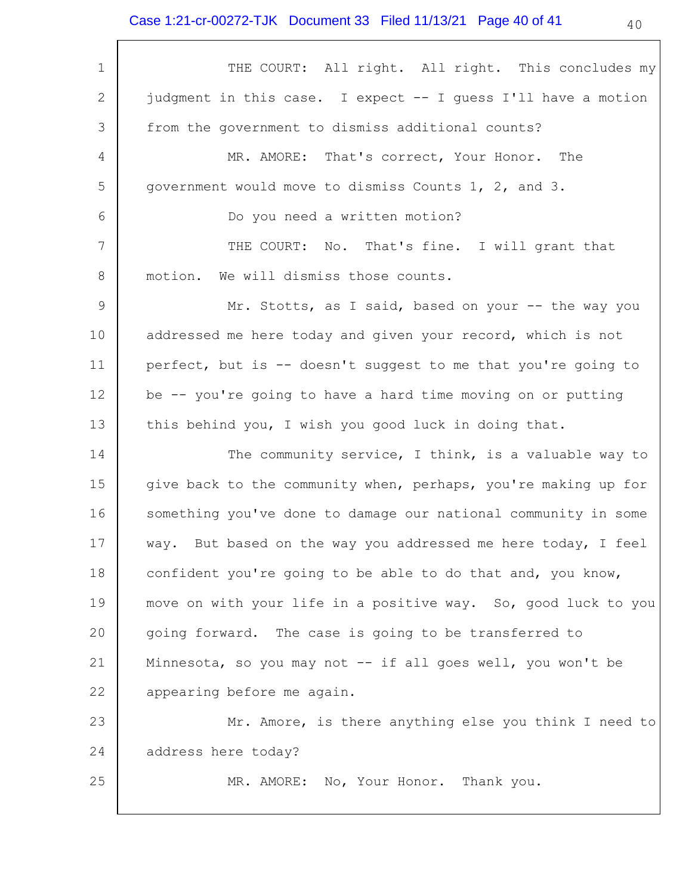## Case 1:21-cr-00272-TJK Document 33 Filed 11/13/21 Page 40 of 41

| $\mathbf 1$     | THE COURT: All right. All right. This concludes my             |
|-----------------|----------------------------------------------------------------|
| 2               | judgment in this case. I expect -- I guess I'll have a motion  |
| 3               | from the government to dismiss additional counts?              |
| $\overline{4}$  | MR. AMORE: That's correct, Your Honor. The                     |
| 5               | government would move to dismiss Counts 1, 2, and 3.           |
| 6               | Do you need a written motion?                                  |
| $7\phantom{.0}$ | THE COURT: No. That's fine. I will grant that                  |
| 8               | We will dismiss those counts.<br>motion.                       |
| 9               | Mr. Stotts, as I said, based on your -- the way you            |
| 10              | addressed me here today and given your record, which is not    |
| 11              | perfect, but is -- doesn't suggest to me that you're going to  |
| 12              | be -- you're going to have a hard time moving on or putting    |
| 13              | this behind you, I wish you good luck in doing that.           |
| 14              | The community service, I think, is a valuable way to           |
| 15              | give back to the community when, perhaps, you're making up for |
| 16              | something you've done to damage our national community in some |
| 17              | way. But based on the way you addressed me here today, I feel  |
| 18              | confident you're going to be able to do that and, you know,    |
| 19              | move on with your life in a positive way. So, good luck to you |
| 20              | going forward. The case is going to be transferred to          |
| 21              | Minnesota, so you may not -- if all goes well, you won't be    |
| 22              | appearing before me again.                                     |
| 23              | Mr. Amore, is there anything else you think I need to          |
| 24              | address here today?                                            |
| 25              | MR. AMORE: No, Your Honor. Thank you.                          |
|                 |                                                                |

40